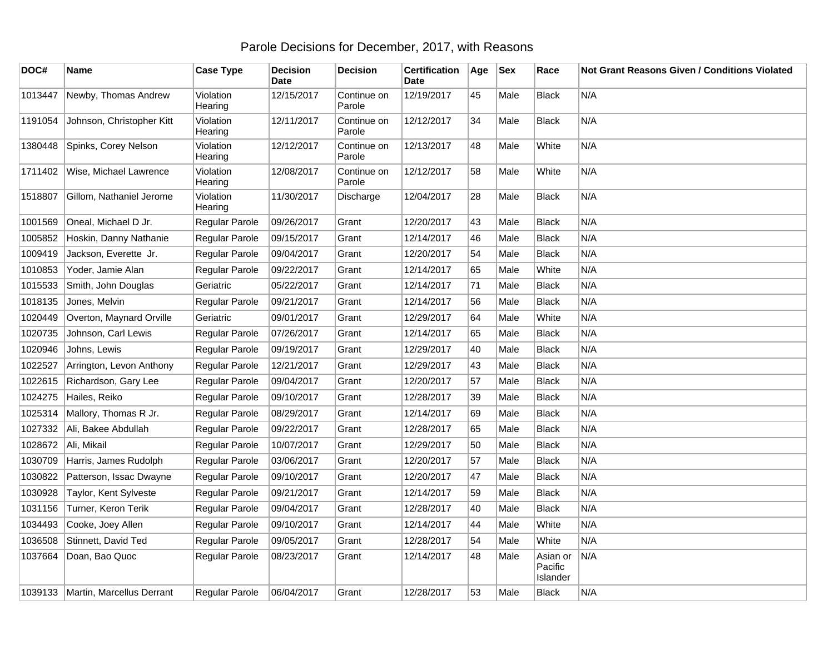## Parole Decisions for December, 2017, with Reasons

| DOC#    | Name                                | <b>Case Type</b>     | <b>Decision</b><br><b>Date</b> | <b>Decision</b>       | <b>Certification</b><br>Date | Age | <b>Sex</b> | Race                            | <b>Not Grant Reasons Given / Conditions Violated</b> |
|---------|-------------------------------------|----------------------|--------------------------------|-----------------------|------------------------------|-----|------------|---------------------------------|------------------------------------------------------|
| 1013447 | Newby, Thomas Andrew                | Violation<br>Hearing | 12/15/2017                     | Continue on<br>Parole | 12/19/2017                   | 45  | Male       | Black                           | N/A                                                  |
| 1191054 | Johnson, Christopher Kitt           | Violation<br>Hearing | 12/11/2017                     | Continue on<br>Parole | 12/12/2017                   | 34  | Male       | <b>Black</b>                    | N/A                                                  |
| 1380448 | Spinks, Corey Nelson                | Violation<br>Hearing | 12/12/2017                     | Continue on<br>Parole | 12/13/2017                   | 48  | Male       | White                           | N/A                                                  |
| 1711402 | Wise, Michael Lawrence              | Violation<br>Hearing | 12/08/2017                     | Continue on<br>Parole | 12/12/2017                   | 58  | Male       | White                           | N/A                                                  |
| 1518807 | Gillom, Nathaniel Jerome            | Violation<br>Hearing | 11/30/2017                     | Discharge             | 12/04/2017                   | 28  | Male       | <b>Black</b>                    | N/A                                                  |
| 1001569 | Oneal, Michael D Jr.                | Regular Parole       | 09/26/2017                     | Grant                 | 12/20/2017                   | 43  | Male       | <b>Black</b>                    | N/A                                                  |
| 1005852 | Hoskin, Danny Nathanie              | Regular Parole       | 09/15/2017                     | Grant                 | 12/14/2017                   | 46  | Male       | <b>Black</b>                    | N/A                                                  |
| 1009419 | Jackson, Everette Jr.               | Regular Parole       | 09/04/2017                     | Grant                 | 12/20/2017                   | 54  | Male       | <b>Black</b>                    | N/A                                                  |
| 1010853 | Yoder, Jamie Alan                   | Regular Parole       | 09/22/2017                     | Grant                 | 12/14/2017                   | 65  | Male       | White                           | N/A                                                  |
| 1015533 | Smith, John Douglas                 | Geriatric            | 05/22/2017                     | Grant                 | 12/14/2017                   | 71  | Male       | <b>Black</b>                    | N/A                                                  |
| 1018135 | Jones, Melvin                       | Regular Parole       | 09/21/2017                     | Grant                 | 12/14/2017                   | 56  | Male       | <b>Black</b>                    | N/A                                                  |
| 1020449 | Overton, Maynard Orville            | Geriatric            | 09/01/2017                     | Grant                 | 12/29/2017                   | 64  | Male       | White                           | N/A                                                  |
| 1020735 | Johnson, Carl Lewis                 | Regular Parole       | 07/26/2017                     | Grant                 | 12/14/2017                   | 65  | Male       | <b>Black</b>                    | N/A                                                  |
| 1020946 | Johns, Lewis                        | Regular Parole       | 09/19/2017                     | Grant                 | 12/29/2017                   | 40  | Male       | <b>Black</b>                    | N/A                                                  |
| 1022527 | Arrington, Levon Anthony            | Regular Parole       | 12/21/2017                     | Grant                 | 12/29/2017                   | 43  | Male       | <b>Black</b>                    | N/A                                                  |
| 1022615 | Richardson, Gary Lee                | Regular Parole       | 09/04/2017                     | Grant                 | 12/20/2017                   | 57  | Male       | <b>Black</b>                    | N/A                                                  |
| 1024275 | Hailes, Reiko                       | Regular Parole       | 09/10/2017                     | Grant                 | 12/28/2017                   | 39  | Male       | <b>Black</b>                    | N/A                                                  |
| 1025314 | Mallory, Thomas R Jr.               | Regular Parole       | 08/29/2017                     | Grant                 | 12/14/2017                   | 69  | Male       | <b>Black</b>                    | N/A                                                  |
| 1027332 | Ali, Bakee Abdullah                 | Regular Parole       | 09/22/2017                     | Grant                 | 12/28/2017                   | 65  | Male       | Black                           | N/A                                                  |
| 1028672 | Ali, Mikail                         | Regular Parole       | 10/07/2017                     | Grant                 | 12/29/2017                   | 50  | Male       | <b>Black</b>                    | N/A                                                  |
| 1030709 | Harris, James Rudolph               | Regular Parole       | 03/06/2017                     | Grant                 | 12/20/2017                   | 57  | Male       | <b>Black</b>                    | N/A                                                  |
| 1030822 | Patterson, Issac Dwayne             | Regular Parole       | 09/10/2017                     | Grant                 | 12/20/2017                   | 47  | Male       | <b>Black</b>                    | N/A                                                  |
| 1030928 | Taylor, Kent Sylveste               | Regular Parole       | 09/21/2017                     | Grant                 | 12/14/2017                   | 59  | Male       | <b>Black</b>                    | N/A                                                  |
| 1031156 | Turner, Keron Terik                 | Regular Parole       | 09/04/2017                     | Grant                 | 12/28/2017                   | 40  | Male       | <b>Black</b>                    | N/A                                                  |
| 1034493 | Cooke, Joey Allen                   | Regular Parole       | 09/10/2017                     | Grant                 | 12/14/2017                   | 44  | Male       | White                           | N/A                                                  |
| 1036508 | Stinnett, David Ted                 | Regular Parole       | 09/05/2017                     | Grant                 | 12/28/2017                   | 54  | Male       | White                           | N/A                                                  |
| 1037664 | Doan, Bao Quoc                      | Regular Parole       | 08/23/2017                     | Grant                 | 12/14/2017                   | 48  | Male       | Asian or<br>Pacific<br>Islander | N/A                                                  |
|         | 1039133   Martin, Marcellus Derrant | Regular Parole       | 06/04/2017                     | Grant                 | 12/28/2017                   | 53  | Male       | <b>Black</b>                    | N/A                                                  |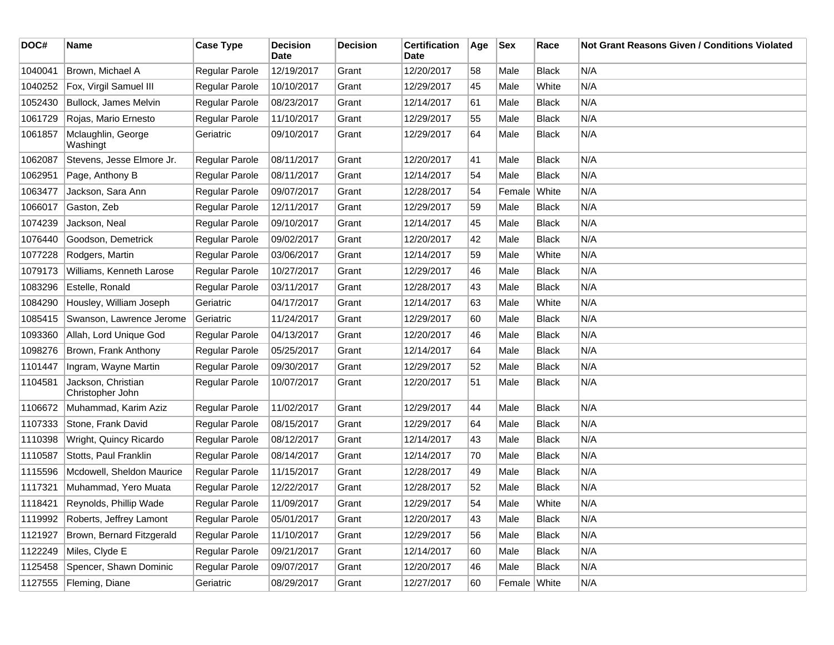| DOC#    | <b>Name</b>                            | <b>Case Type</b>      | <b>Decision</b><br>Date | <b>Decision</b> | <b>Certification</b><br>Date | Age | <b>Sex</b>   | Race         | <b>Not Grant Reasons Given / Conditions Violated</b> |
|---------|----------------------------------------|-----------------------|-------------------------|-----------------|------------------------------|-----|--------------|--------------|------------------------------------------------------|
| 1040041 | Brown, Michael A                       | Regular Parole        | 12/19/2017              | Grant           | 12/20/2017                   | 58  | Male         | <b>Black</b> | N/A                                                  |
| 1040252 | Fox, Virgil Samuel III                 | Regular Parole        | 10/10/2017              | Grant           | 12/29/2017                   | 45  | Male         | White        | N/A                                                  |
| 1052430 | Bullock, James Melvin                  | Regular Parole        | 08/23/2017              | Grant           | 12/14/2017                   | 61  | Male         | <b>Black</b> | N/A                                                  |
| 1061729 | Rojas, Mario Ernesto                   | Regular Parole        | 11/10/2017              | Grant           | 12/29/2017                   | 55  | Male         | <b>Black</b> | N/A                                                  |
| 1061857 | Mclaughlin, George<br>Washingt         | Geriatric             | 09/10/2017              | Grant           | 12/29/2017                   | 64  | Male         | Black        | N/A                                                  |
| 1062087 | Stevens, Jesse Elmore Jr.              | Regular Parole        | 08/11/2017              | Grant           | 12/20/2017                   | 41  | Male         | <b>Black</b> | N/A                                                  |
| 1062951 | Page, Anthony B                        | Regular Parole        | 08/11/2017              | Grant           | 12/14/2017                   | 54  | Male         | <b>Black</b> | N/A                                                  |
| 1063477 | Jackson, Sara Ann                      | Regular Parole        | 09/07/2017              | Grant           | 12/28/2017                   | 54  | Female       | White        | N/A                                                  |
| 1066017 | Gaston, Zeb                            | Regular Parole        | 12/11/2017              | Grant           | 12/29/2017                   | 59  | Male         | <b>Black</b> | N/A                                                  |
| 1074239 | Jackson, Neal                          | Regular Parole        | 09/10/2017              | Grant           | 12/14/2017                   | 45  | Male         | <b>Black</b> | N/A                                                  |
| 1076440 | Goodson, Demetrick                     | Regular Parole        | 09/02/2017              | Grant           | 12/20/2017                   | 42  | Male         | <b>Black</b> | N/A                                                  |
| 1077228 | Rodgers, Martin                        | Regular Parole        | 03/06/2017              | Grant           | 12/14/2017                   | 59  | Male         | White        | N/A                                                  |
| 1079173 | Williams, Kenneth Larose               | Regular Parole        | 10/27/2017              | Grant           | 12/29/2017                   | 46  | Male         | <b>Black</b> | N/A                                                  |
| 1083296 | Estelle, Ronald                        | Regular Parole        | 03/11/2017              | Grant           | 12/28/2017                   | 43  | Male         | <b>Black</b> | N/A                                                  |
| 1084290 | Housley, William Joseph                | Geriatric             | 04/17/2017              | Grant           | 12/14/2017                   | 63  | Male         | White        | N/A                                                  |
| 1085415 | Swanson, Lawrence Jerome               | Geriatric             | 11/24/2017              | Grant           | 12/29/2017                   | 60  | Male         | <b>Black</b> | N/A                                                  |
| 1093360 | Allah, Lord Unique God                 | Regular Parole        | 04/13/2017              | Grant           | 12/20/2017                   | 46  | Male         | <b>Black</b> | N/A                                                  |
| 1098276 | Brown, Frank Anthony                   | Regular Parole        | 05/25/2017              | Grant           | 12/14/2017                   | 64  | Male         | <b>Black</b> | N/A                                                  |
| 1101447 | Ingram, Wayne Martin                   | Regular Parole        | 09/30/2017              | Grant           | 12/29/2017                   | 52  | Male         | <b>Black</b> | N/A                                                  |
| 1104581 | Jackson, Christian<br>Christopher John | Regular Parole        | 10/07/2017              | Grant           | 12/20/2017                   | 51  | Male         | <b>Black</b> | N/A                                                  |
| 1106672 | Muhammad, Karim Aziz                   | Regular Parole        | 11/02/2017              | Grant           | 12/29/2017                   | 44  | Male         | <b>Black</b> | N/A                                                  |
| 1107333 | Stone, Frank David                     | <b>Regular Parole</b> | 08/15/2017              | Grant           | 12/29/2017                   | 64  | Male         | <b>Black</b> | N/A                                                  |
| 1110398 | Wright, Quincy Ricardo                 | Regular Parole        | 08/12/2017              | Grant           | 12/14/2017                   | 43  | Male         | <b>Black</b> | N/A                                                  |
| 1110587 | Stotts, Paul Franklin                  | Regular Parole        | 08/14/2017              | Grant           | 12/14/2017                   | 70  | Male         | <b>Black</b> | N/A                                                  |
| 1115596 | Mcdowell, Sheldon Maurice              | Regular Parole        | 11/15/2017              | Grant           | 12/28/2017                   | 49  | Male         | <b>Black</b> | N/A                                                  |
| 1117321 | Muhammad, Yero Muata                   | Regular Parole        | 12/22/2017              | Grant           | 12/28/2017                   | 52  | Male         | <b>Black</b> | N/A                                                  |
| 1118421 | Reynolds, Phillip Wade                 | <b>Regular Parole</b> | 11/09/2017              | Grant           | 12/29/2017                   | 54  | Male         | White        | N/A                                                  |
| 1119992 | Roberts, Jeffrey Lamont                | Regular Parole        | 05/01/2017              | Grant           | 12/20/2017                   | 43  | Male         | <b>Black</b> | N/A                                                  |
| 1121927 | Brown, Bernard Fitzgerald              | Regular Parole        | 11/10/2017              | Grant           | 12/29/2017                   | 56  | Male         | <b>Black</b> | N/A                                                  |
| 1122249 | Miles, Clyde E                         | Regular Parole        | 09/21/2017              | Grant           | 12/14/2017                   | 60  | Male         | <b>Black</b> | N/A                                                  |
| 1125458 | Spencer, Shawn Dominic                 | Regular Parole        | 09/07/2017              | Grant           | 12/20/2017                   | 46  | Male         | Black        | N/A                                                  |
|         | 1127555 Fleming, Diane                 | Geriatric             | 08/29/2017              | Grant           | 12/27/2017                   | 60  | Female White |              | N/A                                                  |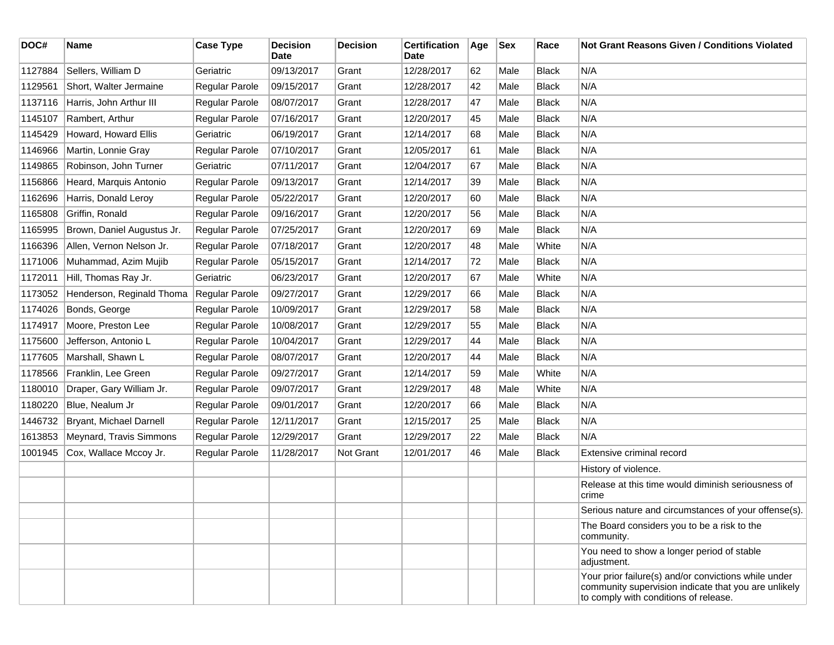| DOC#    | <b>Name</b>                | <b>Case Type</b> | <b>Decision</b><br>Date | <b>Decision</b> | <b>Certification</b><br>Date | Age | <b>Sex</b> | Race         | <b>Not Grant Reasons Given / Conditions Violated</b>                                                                                                  |
|---------|----------------------------|------------------|-------------------------|-----------------|------------------------------|-----|------------|--------------|-------------------------------------------------------------------------------------------------------------------------------------------------------|
| 1127884 | Sellers, William D         | Geriatric        | 09/13/2017              | Grant           | 12/28/2017                   | 62  | Male       | <b>Black</b> | N/A                                                                                                                                                   |
| 1129561 | Short, Walter Jermaine     | Regular Parole   | 09/15/2017              | Grant           | 12/28/2017                   | 42  | Male       | <b>Black</b> | N/A                                                                                                                                                   |
| 1137116 | Harris, John Arthur III    | Regular Parole   | 08/07/2017              | Grant           | 12/28/2017                   | 47  | Male       | <b>Black</b> | N/A                                                                                                                                                   |
| 1145107 | Rambert, Arthur            | Regular Parole   | 07/16/2017              | Grant           | 12/20/2017                   | 45  | Male       | <b>Black</b> | N/A                                                                                                                                                   |
| 1145429 | Howard, Howard Ellis       | Geriatric        | 06/19/2017              | Grant           | 12/14/2017                   | 68  | Male       | <b>Black</b> | N/A                                                                                                                                                   |
| 1146966 | Martin, Lonnie Gray        | Regular Parole   | 07/10/2017              | Grant           | 12/05/2017                   | 61  | Male       | <b>Black</b> | N/A                                                                                                                                                   |
| 1149865 | Robinson, John Turner      | Geriatric        | 07/11/2017              | Grant           | 12/04/2017                   | 67  | Male       | <b>Black</b> | N/A                                                                                                                                                   |
| 1156866 | Heard, Marquis Antonio     | Regular Parole   | 09/13/2017              | Grant           | 12/14/2017                   | 39  | Male       | <b>Black</b> | N/A                                                                                                                                                   |
| 1162696 | Harris, Donald Leroy       | Regular Parole   | 05/22/2017              | Grant           | 12/20/2017                   | 60  | Male       | <b>Black</b> | N/A                                                                                                                                                   |
| 1165808 | Griffin, Ronald            | Regular Parole   | 09/16/2017              | Grant           | 12/20/2017                   | 56  | Male       | <b>Black</b> | N/A                                                                                                                                                   |
| 1165995 | Brown, Daniel Augustus Jr. | Regular Parole   | 07/25/2017              | Grant           | 12/20/2017                   | 69  | Male       | <b>Black</b> | N/A                                                                                                                                                   |
| 1166396 | Allen, Vernon Nelson Jr.   | Regular Parole   | 07/18/2017              | Grant           | 12/20/2017                   | 48  | Male       | White        | N/A                                                                                                                                                   |
| 1171006 | Muhammad, Azim Mujib       | Regular Parole   | 05/15/2017              | Grant           | 12/14/2017                   | 72  | Male       | <b>Black</b> | N/A                                                                                                                                                   |
| 1172011 | Hill, Thomas Ray Jr.       | Geriatric        | 06/23/2017              | Grant           | 12/20/2017                   | 67  | Male       | White        | N/A                                                                                                                                                   |
| 1173052 | Henderson, Reginald Thoma  | Regular Parole   | 09/27/2017              | Grant           | 12/29/2017                   | 66  | Male       | <b>Black</b> | N/A                                                                                                                                                   |
| 1174026 | Bonds, George              | Regular Parole   | 10/09/2017              | Grant           | 12/29/2017                   | 58  | Male       | <b>Black</b> | N/A                                                                                                                                                   |
| 1174917 | Moore, Preston Lee         | Regular Parole   | 10/08/2017              | Grant           | 12/29/2017                   | 55  | Male       | <b>Black</b> | N/A                                                                                                                                                   |
| 1175600 | Jefferson, Antonio L       | Regular Parole   | 10/04/2017              | Grant           | 12/29/2017                   | 44  | Male       | <b>Black</b> | N/A                                                                                                                                                   |
| 1177605 | Marshall, Shawn L          | Regular Parole   | 08/07/2017              | Grant           | 12/20/2017                   | 44  | Male       | <b>Black</b> | N/A                                                                                                                                                   |
| 1178566 | Franklin, Lee Green        | Regular Parole   | 09/27/2017              | Grant           | 12/14/2017                   | 59  | Male       | White        | N/A                                                                                                                                                   |
| 1180010 | Draper, Gary William Jr.   | Regular Parole   | 09/07/2017              | Grant           | 12/29/2017                   | 48  | Male       | White        | N/A                                                                                                                                                   |
| 1180220 | Blue, Nealum Jr            | Regular Parole   | 09/01/2017              | Grant           | 12/20/2017                   | 66  | Male       | <b>Black</b> | N/A                                                                                                                                                   |
| 1446732 | Bryant, Michael Darnell    | Regular Parole   | 12/11/2017              | Grant           | 12/15/2017                   | 25  | Male       | <b>Black</b> | N/A                                                                                                                                                   |
| 1613853 | Meynard, Travis Simmons    | Regular Parole   | 12/29/2017              | Grant           | 12/29/2017                   | 22  | Male       | <b>Black</b> | N/A                                                                                                                                                   |
| 1001945 | Cox, Wallace Mccoy Jr.     | Regular Parole   | 11/28/2017              | Not Grant       | 12/01/2017                   | 46  | Male       | <b>Black</b> | Extensive criminal record                                                                                                                             |
|         |                            |                  |                         |                 |                              |     |            |              | History of violence.                                                                                                                                  |
|         |                            |                  |                         |                 |                              |     |            |              | Release at this time would diminish seriousness of<br>crime                                                                                           |
|         |                            |                  |                         |                 |                              |     |            |              | Serious nature and circumstances of your offense(s).                                                                                                  |
|         |                            |                  |                         |                 |                              |     |            |              | The Board considers you to be a risk to the<br>community.                                                                                             |
|         |                            |                  |                         |                 |                              |     |            |              | You need to show a longer period of stable<br>adjustment.                                                                                             |
|         |                            |                  |                         |                 |                              |     |            |              | Your prior failure(s) and/or convictions while under<br>community supervision indicate that you are unlikely<br>to comply with conditions of release. |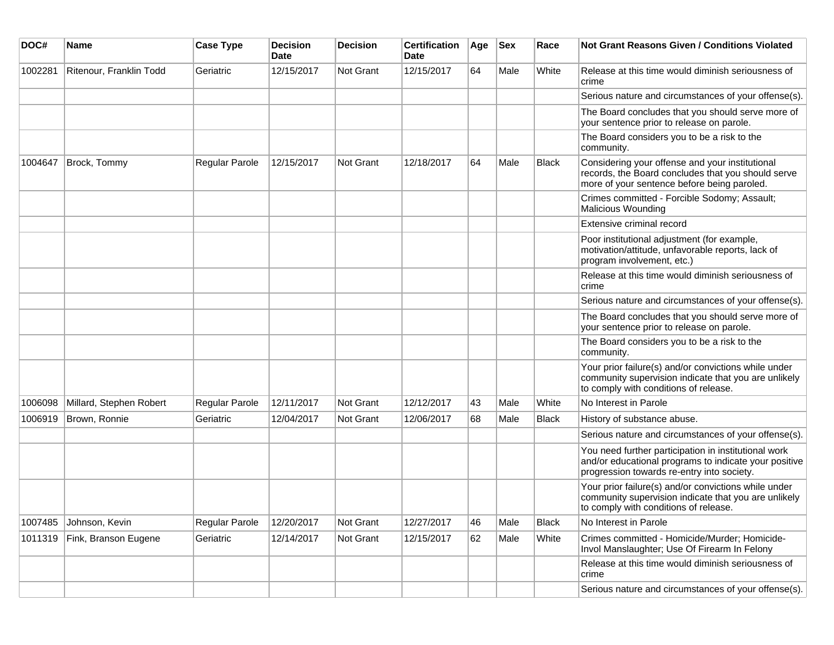| DOC#    | <b>Name</b>             | <b>Case Type</b> | <b>Decision</b><br><b>Date</b> | Decision         | <b>Certification</b><br>Date | Age | <b>Sex</b> | Race         | Not Grant Reasons Given / Conditions Violated                                                                                                               |
|---------|-------------------------|------------------|--------------------------------|------------------|------------------------------|-----|------------|--------------|-------------------------------------------------------------------------------------------------------------------------------------------------------------|
| 1002281 | Ritenour, Franklin Todd | Geriatric        | 12/15/2017                     | Not Grant        | 12/15/2017                   | 64  | Male       | White        | Release at this time would diminish seriousness of<br>crime                                                                                                 |
|         |                         |                  |                                |                  |                              |     |            |              | Serious nature and circumstances of your offense(s).                                                                                                        |
|         |                         |                  |                                |                  |                              |     |            |              | The Board concludes that you should serve more of<br>your sentence prior to release on parole.                                                              |
|         |                         |                  |                                |                  |                              |     |            |              | The Board considers you to be a risk to the<br>community.                                                                                                   |
| 1004647 | Brock, Tommy            | Regular Parole   | 12/15/2017                     | <b>Not Grant</b> | 12/18/2017                   | 64  | Male       | <b>Black</b> | Considering your offense and your institutional<br>records, the Board concludes that you should serve<br>more of your sentence before being paroled.        |
|         |                         |                  |                                |                  |                              |     |            |              | Crimes committed - Forcible Sodomy; Assault;<br><b>Malicious Wounding</b>                                                                                   |
|         |                         |                  |                                |                  |                              |     |            |              | Extensive criminal record                                                                                                                                   |
|         |                         |                  |                                |                  |                              |     |            |              | Poor institutional adjustment (for example,<br>motivation/attitude, unfavorable reports, lack of<br>program involvement, etc.)                              |
|         |                         |                  |                                |                  |                              |     |            |              | Release at this time would diminish seriousness of<br>crime                                                                                                 |
|         |                         |                  |                                |                  |                              |     |            |              | Serious nature and circumstances of your offense(s).                                                                                                        |
|         |                         |                  |                                |                  |                              |     |            |              | The Board concludes that you should serve more of<br>your sentence prior to release on parole.                                                              |
|         |                         |                  |                                |                  |                              |     |            |              | The Board considers you to be a risk to the<br>community.                                                                                                   |
|         |                         |                  |                                |                  |                              |     |            |              | Your prior failure(s) and/or convictions while under<br>community supervision indicate that you are unlikely<br>to comply with conditions of release.       |
| 1006098 | Millard, Stephen Robert | Regular Parole   | 12/11/2017                     | Not Grant        | 12/12/2017                   | 43  | Male       | White        | No Interest in Parole                                                                                                                                       |
| 1006919 | Brown, Ronnie           | Geriatric        | 12/04/2017                     | <b>Not Grant</b> | 12/06/2017                   | 68  | Male       | <b>Black</b> | History of substance abuse.                                                                                                                                 |
|         |                         |                  |                                |                  |                              |     |            |              | Serious nature and circumstances of your offense(s).                                                                                                        |
|         |                         |                  |                                |                  |                              |     |            |              | You need further participation in institutional work<br>and/or educational programs to indicate your positive<br>progression towards re-entry into society. |
|         |                         |                  |                                |                  |                              |     |            |              | Your prior failure(s) and/or convictions while under<br>community supervision indicate that you are unlikely<br>to comply with conditions of release.       |
| 1007485 | Johnson, Kevin          | Regular Parole   | 12/20/2017                     | Not Grant        | 12/27/2017                   | 46  | Male       | <b>Black</b> | No Interest in Parole                                                                                                                                       |
| 1011319 | Fink, Branson Eugene    | Geriatric        | 12/14/2017                     | Not Grant        | 12/15/2017                   | 62  | Male       | White        | Crimes committed - Homicide/Murder; Homicide-<br>Invol Manslaughter; Use Of Firearm In Felony                                                               |
|         |                         |                  |                                |                  |                              |     |            |              | Release at this time would diminish seriousness of<br>crime                                                                                                 |
|         |                         |                  |                                |                  |                              |     |            |              | Serious nature and circumstances of your offense(s).                                                                                                        |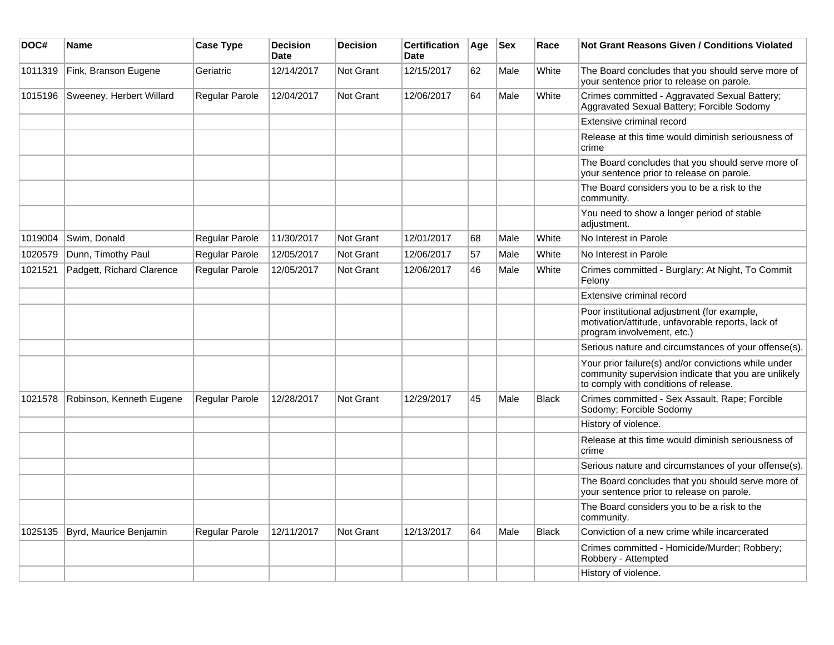| DOC#    | <b>Name</b>               | <b>Case Type</b>      | <b>Decision</b><br><b>Date</b> | <b>Decision</b>  | <b>Certification</b><br>Date | Age | <b>Sex</b> | Race         | Not Grant Reasons Given / Conditions Violated                                                                                                         |
|---------|---------------------------|-----------------------|--------------------------------|------------------|------------------------------|-----|------------|--------------|-------------------------------------------------------------------------------------------------------------------------------------------------------|
| 1011319 | Fink, Branson Eugene      | Geriatric             | 12/14/2017                     | Not Grant        | 12/15/2017                   | 62  | Male       | White        | The Board concludes that you should serve more of<br>your sentence prior to release on parole.                                                        |
| 1015196 | Sweeney, Herbert Willard  | Regular Parole        | 12/04/2017                     | Not Grant        | 12/06/2017                   | 64  | Male       | White        | Crimes committed - Aggravated Sexual Battery;<br>Aggravated Sexual Battery; Forcible Sodomy                                                           |
|         |                           |                       |                                |                  |                              |     |            |              | Extensive criminal record                                                                                                                             |
|         |                           |                       |                                |                  |                              |     |            |              | Release at this time would diminish seriousness of<br>crime                                                                                           |
|         |                           |                       |                                |                  |                              |     |            |              | The Board concludes that you should serve more of<br>your sentence prior to release on parole.                                                        |
|         |                           |                       |                                |                  |                              |     |            |              | The Board considers you to be a risk to the<br>community.                                                                                             |
|         |                           |                       |                                |                  |                              |     |            |              | You need to show a longer period of stable<br>adjustment.                                                                                             |
| 1019004 | Swim, Donald              | Regular Parole        | 11/30/2017                     | Not Grant        | 12/01/2017                   | 68  | Male       | White        | No Interest in Parole                                                                                                                                 |
| 1020579 | Dunn, Timothy Paul        | Regular Parole        | 12/05/2017                     | Not Grant        | 12/06/2017                   | 57  | Male       | White        | No Interest in Parole                                                                                                                                 |
| 1021521 | Padgett, Richard Clarence | Regular Parole        | 12/05/2017                     | <b>Not Grant</b> | 12/06/2017                   | 46  | Male       | White        | Crimes committed - Burglary: At Night, To Commit<br>Felony                                                                                            |
|         |                           |                       |                                |                  |                              |     |            |              | Extensive criminal record                                                                                                                             |
|         |                           |                       |                                |                  |                              |     |            |              | Poor institutional adjustment (for example,<br>motivation/attitude, unfavorable reports, lack of<br>program involvement, etc.)                        |
|         |                           |                       |                                |                  |                              |     |            |              | Serious nature and circumstances of your offense(s).                                                                                                  |
|         |                           |                       |                                |                  |                              |     |            |              | Your prior failure(s) and/or convictions while under<br>community supervision indicate that you are unlikely<br>to comply with conditions of release. |
| 1021578 | Robinson, Kenneth Eugene  | <b>Regular Parole</b> | 12/28/2017                     | <b>Not Grant</b> | 12/29/2017                   | 45  | Male       | <b>Black</b> | Crimes committed - Sex Assault, Rape; Forcible<br>Sodomy; Forcible Sodomy                                                                             |
|         |                           |                       |                                |                  |                              |     |            |              | History of violence.                                                                                                                                  |
|         |                           |                       |                                |                  |                              |     |            |              | Release at this time would diminish seriousness of<br>crime                                                                                           |
|         |                           |                       |                                |                  |                              |     |            |              | Serious nature and circumstances of your offense(s).                                                                                                  |
|         |                           |                       |                                |                  |                              |     |            |              | The Board concludes that you should serve more of<br>your sentence prior to release on parole.                                                        |
|         |                           |                       |                                |                  |                              |     |            |              | The Board considers you to be a risk to the<br>community.                                                                                             |
| 1025135 | Byrd, Maurice Benjamin    | Regular Parole        | 12/11/2017                     | <b>Not Grant</b> | 12/13/2017                   | 64  | Male       | <b>Black</b> | Conviction of a new crime while incarcerated                                                                                                          |
|         |                           |                       |                                |                  |                              |     |            |              | Crimes committed - Homicide/Murder; Robbery;<br>Robbery - Attempted                                                                                   |
|         |                           |                       |                                |                  |                              |     |            |              | History of violence.                                                                                                                                  |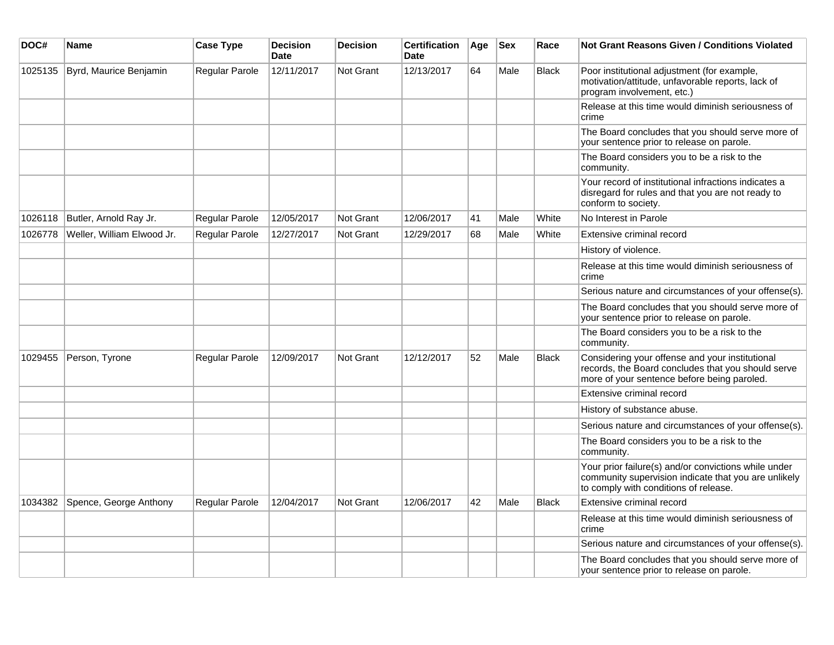| DOC#    | <b>Name</b>                | <b>Case Type</b> | <b>Decision</b><br><b>Date</b> | <b>Decision</b> | <b>Certification</b><br>Date | Age | <b>Sex</b> | Race         | <b>Not Grant Reasons Given / Conditions Violated</b>                                                                                                  |
|---------|----------------------------|------------------|--------------------------------|-----------------|------------------------------|-----|------------|--------------|-------------------------------------------------------------------------------------------------------------------------------------------------------|
| 1025135 | Byrd, Maurice Benjamin     | Regular Parole   | 12/11/2017                     | Not Grant       | 12/13/2017                   | 64  | Male       | <b>Black</b> | Poor institutional adjustment (for example,<br>motivation/attitude, unfavorable reports, lack of<br>program involvement, etc.)                        |
|         |                            |                  |                                |                 |                              |     |            |              | Release at this time would diminish seriousness of<br>crime                                                                                           |
|         |                            |                  |                                |                 |                              |     |            |              | The Board concludes that you should serve more of<br>your sentence prior to release on parole.                                                        |
|         |                            |                  |                                |                 |                              |     |            |              | The Board considers you to be a risk to the<br>community.                                                                                             |
|         |                            |                  |                                |                 |                              |     |            |              | Your record of institutional infractions indicates a<br>disregard for rules and that you are not ready to<br>conform to society.                      |
| 1026118 | Butler, Arnold Ray Jr.     | Regular Parole   | 12/05/2017                     | Not Grant       | 12/06/2017                   | 41  | Male       | White        | No Interest in Parole                                                                                                                                 |
| 1026778 | Weller, William Elwood Jr. | Regular Parole   | 12/27/2017                     | Not Grant       | 12/29/2017                   | 68  | Male       | White        | Extensive criminal record                                                                                                                             |
|         |                            |                  |                                |                 |                              |     |            |              | History of violence.                                                                                                                                  |
|         |                            |                  |                                |                 |                              |     |            |              | Release at this time would diminish seriousness of<br>crime                                                                                           |
|         |                            |                  |                                |                 |                              |     |            |              | Serious nature and circumstances of your offense(s).                                                                                                  |
|         |                            |                  |                                |                 |                              |     |            |              | The Board concludes that you should serve more of<br>your sentence prior to release on parole.                                                        |
|         |                            |                  |                                |                 |                              |     |            |              | The Board considers you to be a risk to the<br>community.                                                                                             |
| 1029455 | Person, Tyrone             | Regular Parole   | 12/09/2017                     | Not Grant       | 12/12/2017                   | 52  | Male       | <b>Black</b> | Considering your offense and your institutional<br>records, the Board concludes that you should serve<br>more of your sentence before being paroled.  |
|         |                            |                  |                                |                 |                              |     |            |              | Extensive criminal record                                                                                                                             |
|         |                            |                  |                                |                 |                              |     |            |              | History of substance abuse.                                                                                                                           |
|         |                            |                  |                                |                 |                              |     |            |              | Serious nature and circumstances of your offense(s).                                                                                                  |
|         |                            |                  |                                |                 |                              |     |            |              | The Board considers you to be a risk to the<br>community.                                                                                             |
|         |                            |                  |                                |                 |                              |     |            |              | Your prior failure(s) and/or convictions while under<br>community supervision indicate that you are unlikely<br>to comply with conditions of release. |
| 1034382 | Spence, George Anthony     | Regular Parole   | 12/04/2017                     | Not Grant       | 12/06/2017                   | 42  | Male       | Black        | Extensive criminal record                                                                                                                             |
|         |                            |                  |                                |                 |                              |     |            |              | Release at this time would diminish seriousness of<br>crime                                                                                           |
|         |                            |                  |                                |                 |                              |     |            |              | Serious nature and circumstances of your offense(s).                                                                                                  |
|         |                            |                  |                                |                 |                              |     |            |              | The Board concludes that you should serve more of<br>your sentence prior to release on parole.                                                        |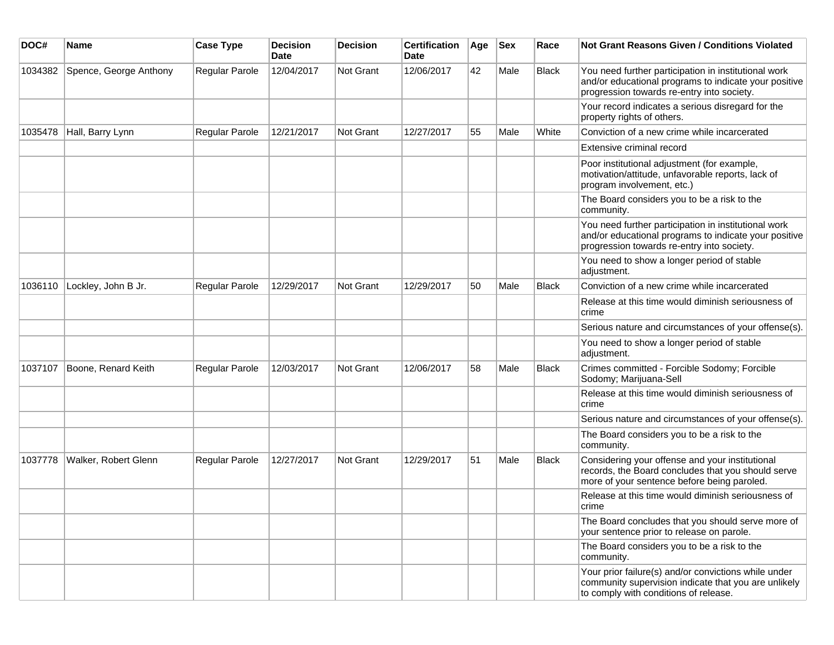| DOC#    | <b>Name</b>            | <b>Case Type</b> | <b>Decision</b><br><b>Date</b> | <b>Decision</b> | <b>Certification</b><br>Date | Age | <b>Sex</b> | Race         | <b>Not Grant Reasons Given / Conditions Violated</b>                                                                                                        |
|---------|------------------------|------------------|--------------------------------|-----------------|------------------------------|-----|------------|--------------|-------------------------------------------------------------------------------------------------------------------------------------------------------------|
| 1034382 | Spence, George Anthony | Regular Parole   | 12/04/2017                     | Not Grant       | 12/06/2017                   | 42  | Male       | <b>Black</b> | You need further participation in institutional work<br>and/or educational programs to indicate your positive<br>progression towards re-entry into society. |
|         |                        |                  |                                |                 |                              |     |            |              | Your record indicates a serious disregard for the<br>property rights of others.                                                                             |
| 1035478 | Hall, Barry Lynn       | Regular Parole   | 12/21/2017                     | Not Grant       | 12/27/2017                   | 55  | Male       | White        | Conviction of a new crime while incarcerated                                                                                                                |
|         |                        |                  |                                |                 |                              |     |            |              | Extensive criminal record                                                                                                                                   |
|         |                        |                  |                                |                 |                              |     |            |              | Poor institutional adjustment (for example,<br>motivation/attitude, unfavorable reports, lack of<br>program involvement, etc.)                              |
|         |                        |                  |                                |                 |                              |     |            |              | The Board considers you to be a risk to the<br>community.                                                                                                   |
|         |                        |                  |                                |                 |                              |     |            |              | You need further participation in institutional work<br>and/or educational programs to indicate your positive<br>progression towards re-entry into society. |
|         |                        |                  |                                |                 |                              |     |            |              | You need to show a longer period of stable<br>adjustment.                                                                                                   |
| 1036110 | Lockley, John B Jr.    | Regular Parole   | 12/29/2017                     | Not Grant       | 12/29/2017                   | 50  | Male       | Black        | Conviction of a new crime while incarcerated                                                                                                                |
|         |                        |                  |                                |                 |                              |     |            |              | Release at this time would diminish seriousness of<br>crime                                                                                                 |
|         |                        |                  |                                |                 |                              |     |            |              | Serious nature and circumstances of your offense(s).                                                                                                        |
|         |                        |                  |                                |                 |                              |     |            |              | You need to show a longer period of stable<br>adjustment.                                                                                                   |
| 1037107 | Boone, Renard Keith    | Regular Parole   | 12/03/2017                     | Not Grant       | 12/06/2017                   | 58  | Male       | <b>Black</b> | Crimes committed - Forcible Sodomy; Forcible<br>Sodomy; Marijuana-Sell                                                                                      |
|         |                        |                  |                                |                 |                              |     |            |              | Release at this time would diminish seriousness of<br>crime                                                                                                 |
|         |                        |                  |                                |                 |                              |     |            |              | Serious nature and circumstances of your offense(s).                                                                                                        |
|         |                        |                  |                                |                 |                              |     |            |              | The Board considers you to be a risk to the<br>community.                                                                                                   |
| 1037778 | Walker, Robert Glenn   | Regular Parole   | 12/27/2017                     | Not Grant       | 12/29/2017                   | 51  | Male       | <b>Black</b> | Considering your offense and your institutional<br>records, the Board concludes that you should serve<br>more of your sentence before being paroled.        |
|         |                        |                  |                                |                 |                              |     |            |              | Release at this time would diminish seriousness of<br>crime                                                                                                 |
|         |                        |                  |                                |                 |                              |     |            |              | The Board concludes that you should serve more of<br>your sentence prior to release on parole.                                                              |
|         |                        |                  |                                |                 |                              |     |            |              | The Board considers you to be a risk to the<br>community.                                                                                                   |
|         |                        |                  |                                |                 |                              |     |            |              | Your prior failure(s) and/or convictions while under<br>community supervision indicate that you are unlikely<br>to comply with conditions of release.       |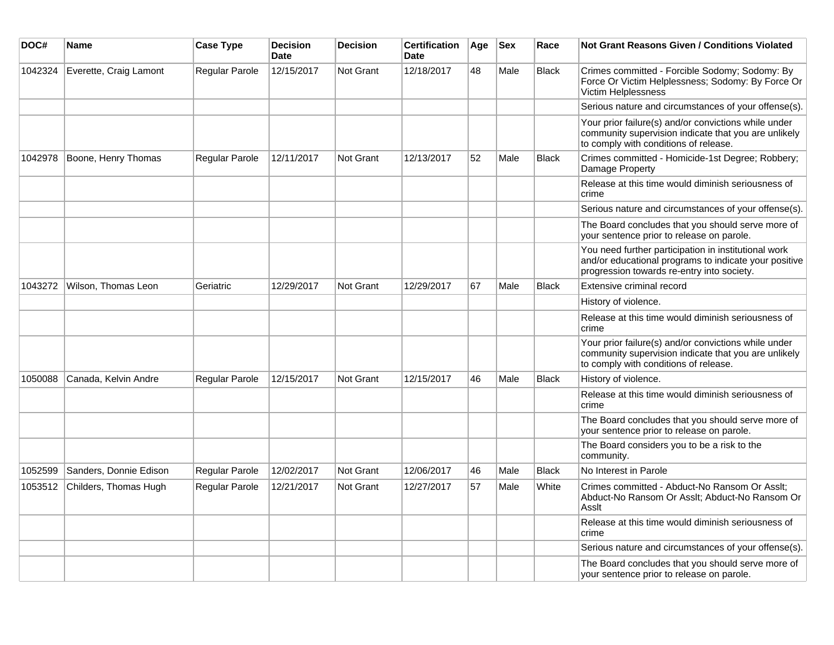| DOC#    | <b>Name</b>            | <b>Case Type</b> | <b>Decision</b><br><b>Date</b> | <b>Decision</b>  | <b>Certification</b><br>Date | Age | <b>Sex</b> | Race         | Not Grant Reasons Given / Conditions Violated                                                                                                               |
|---------|------------------------|------------------|--------------------------------|------------------|------------------------------|-----|------------|--------------|-------------------------------------------------------------------------------------------------------------------------------------------------------------|
| 1042324 | Everette, Craig Lamont | Regular Parole   | 12/15/2017                     | <b>Not Grant</b> | 12/18/2017                   | 48  | Male       | Black        | Crimes committed - Forcible Sodomy; Sodomy: By<br>Force Or Victim Helplessness; Sodomy: By Force Or<br>Victim Helplessness                                  |
|         |                        |                  |                                |                  |                              |     |            |              | Serious nature and circumstances of your offense(s).                                                                                                        |
|         |                        |                  |                                |                  |                              |     |            |              | Your prior failure(s) and/or convictions while under<br>community supervision indicate that you are unlikely<br>to comply with conditions of release.       |
| 1042978 | Boone, Henry Thomas    | Regular Parole   | 12/11/2017                     | Not Grant        | 12/13/2017                   | 52  | Male       | <b>Black</b> | Crimes committed - Homicide-1st Degree; Robbery;<br>Damage Property                                                                                         |
|         |                        |                  |                                |                  |                              |     |            |              | Release at this time would diminish seriousness of<br>crime                                                                                                 |
|         |                        |                  |                                |                  |                              |     |            |              | Serious nature and circumstances of your offense(s).                                                                                                        |
|         |                        |                  |                                |                  |                              |     |            |              | The Board concludes that you should serve more of<br>your sentence prior to release on parole.                                                              |
|         |                        |                  |                                |                  |                              |     |            |              | You need further participation in institutional work<br>and/or educational programs to indicate your positive<br>progression towards re-entry into society. |
| 1043272 | Wilson, Thomas Leon    | Geriatric        | 12/29/2017                     | Not Grant        | 12/29/2017                   | 67  | Male       | <b>Black</b> | Extensive criminal record                                                                                                                                   |
|         |                        |                  |                                |                  |                              |     |            |              | History of violence.                                                                                                                                        |
|         |                        |                  |                                |                  |                              |     |            |              | Release at this time would diminish seriousness of<br>crime                                                                                                 |
|         |                        |                  |                                |                  |                              |     |            |              | Your prior failure(s) and/or convictions while under<br>community supervision indicate that you are unlikely<br>to comply with conditions of release.       |
| 1050088 | Canada, Kelvin Andre   | Regular Parole   | 12/15/2017                     | Not Grant        | 12/15/2017                   | 46  | Male       | <b>Black</b> | History of violence.                                                                                                                                        |
|         |                        |                  |                                |                  |                              |     |            |              | Release at this time would diminish seriousness of<br>crime                                                                                                 |
|         |                        |                  |                                |                  |                              |     |            |              | The Board concludes that you should serve more of<br>your sentence prior to release on parole.                                                              |
|         |                        |                  |                                |                  |                              |     |            |              | The Board considers you to be a risk to the<br>community.                                                                                                   |
| 1052599 | Sanders, Donnie Edison | Regular Parole   | 12/02/2017                     | <b>Not Grant</b> | 12/06/2017                   | 46  | Male       | <b>Black</b> | No Interest in Parole                                                                                                                                       |
| 1053512 | Childers, Thomas Hugh  | Regular Parole   | 12/21/2017                     | <b>Not Grant</b> | 12/27/2017                   | 57  | Male       | White        | Crimes committed - Abduct-No Ransom Or Asslt;<br>Abduct-No Ransom Or Asslt; Abduct-No Ransom Or<br>Asslt                                                    |
|         |                        |                  |                                |                  |                              |     |            |              | Release at this time would diminish seriousness of<br>crime                                                                                                 |
|         |                        |                  |                                |                  |                              |     |            |              | Serious nature and circumstances of your offense(s).                                                                                                        |
|         |                        |                  |                                |                  |                              |     |            |              | The Board concludes that you should serve more of<br>your sentence prior to release on parole.                                                              |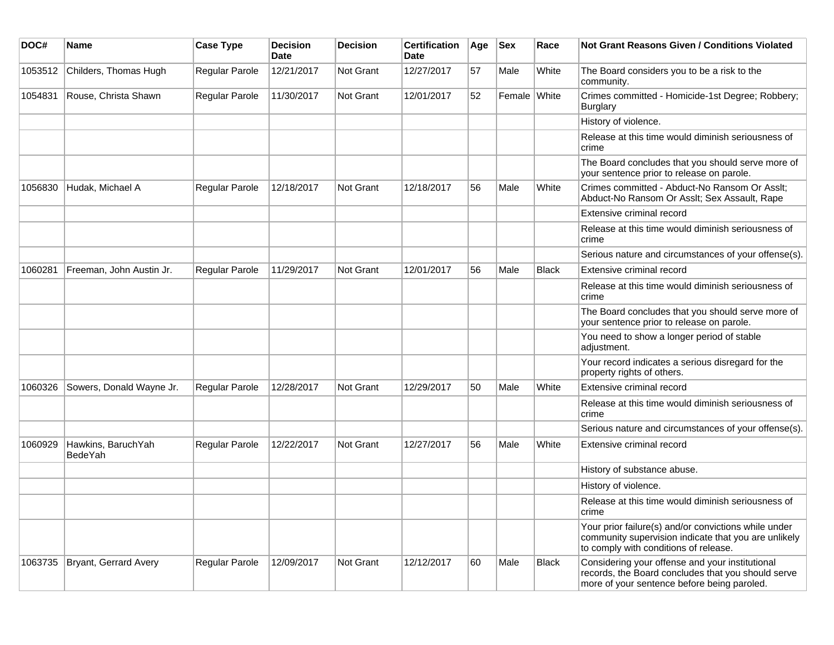| DOC#    | Name                                 | <b>Case Type</b>      | <b>Decision</b><br>Date | <b>Decision</b> | <b>Certification</b><br>Date | Age | <b>Sex</b>   | Race         | Not Grant Reasons Given / Conditions Violated                                                                                                         |
|---------|--------------------------------------|-----------------------|-------------------------|-----------------|------------------------------|-----|--------------|--------------|-------------------------------------------------------------------------------------------------------------------------------------------------------|
| 1053512 | Childers, Thomas Hugh                | Regular Parole        | 12/21/2017              | Not Grant       | 12/27/2017                   | 57  | Male         | White        | The Board considers you to be a risk to the<br>community.                                                                                             |
| 1054831 | Rouse, Christa Shawn                 | Regular Parole        | 11/30/2017              | Not Grant       | 12/01/2017                   | 52  | Female White |              | Crimes committed - Homicide-1st Degree; Robbery;<br><b>Burglary</b>                                                                                   |
|         |                                      |                       |                         |                 |                              |     |              |              | History of violence.                                                                                                                                  |
|         |                                      |                       |                         |                 |                              |     |              |              | Release at this time would diminish seriousness of<br>crime                                                                                           |
|         |                                      |                       |                         |                 |                              |     |              |              | The Board concludes that you should serve more of<br>your sentence prior to release on parole.                                                        |
| 1056830 | Hudak, Michael A                     | <b>Regular Parole</b> | 12/18/2017              | Not Grant       | 12/18/2017                   | 56  | Male         | White        | Crimes committed - Abduct-No Ransom Or Asslt;<br>Abduct-No Ransom Or Asslt; Sex Assault, Rape                                                         |
|         |                                      |                       |                         |                 |                              |     |              |              | Extensive criminal record                                                                                                                             |
|         |                                      |                       |                         |                 |                              |     |              |              | Release at this time would diminish seriousness of<br>crime                                                                                           |
|         |                                      |                       |                         |                 |                              |     |              |              | Serious nature and circumstances of your offense(s).                                                                                                  |
| 1060281 | Freeman, John Austin Jr.             | Regular Parole        | 11/29/2017              | Not Grant       | 12/01/2017                   | 56  | Male         | <b>Black</b> | Extensive criminal record                                                                                                                             |
|         |                                      |                       |                         |                 |                              |     |              |              | Release at this time would diminish seriousness of<br>crime                                                                                           |
|         |                                      |                       |                         |                 |                              |     |              |              | The Board concludes that you should serve more of<br>your sentence prior to release on parole.                                                        |
|         |                                      |                       |                         |                 |                              |     |              |              | You need to show a longer period of stable<br>adjustment.                                                                                             |
|         |                                      |                       |                         |                 |                              |     |              |              | Your record indicates a serious disregard for the<br>property rights of others.                                                                       |
| 1060326 | Sowers, Donald Wayne Jr.             | <b>Regular Parole</b> | 12/28/2017              | Not Grant       | 12/29/2017                   | 50  | Male         | White        | Extensive criminal record                                                                                                                             |
|         |                                      |                       |                         |                 |                              |     |              |              | Release at this time would diminish seriousness of<br>crime                                                                                           |
|         |                                      |                       |                         |                 |                              |     |              |              | Serious nature and circumstances of your offense(s).                                                                                                  |
| 1060929 | Hawkins, BaruchYah<br><b>BedeYah</b> | <b>Regular Parole</b> | 12/22/2017              | Not Grant       | 12/27/2017                   | 56  | Male         | White        | Extensive criminal record                                                                                                                             |
|         |                                      |                       |                         |                 |                              |     |              |              | History of substance abuse.                                                                                                                           |
|         |                                      |                       |                         |                 |                              |     |              |              | History of violence.                                                                                                                                  |
|         |                                      |                       |                         |                 |                              |     |              |              | Release at this time would diminish seriousness of<br>crime                                                                                           |
|         |                                      |                       |                         |                 |                              |     |              |              | Your prior failure(s) and/or convictions while under<br>community supervision indicate that you are unlikely<br>to comply with conditions of release. |
| 1063735 | Bryant, Gerrard Avery                | Regular Parole        | 12/09/2017              | Not Grant       | 12/12/2017                   | 60  | Male         | Black        | Considering your offense and your institutional<br>records, the Board concludes that you should serve<br>more of your sentence before being paroled.  |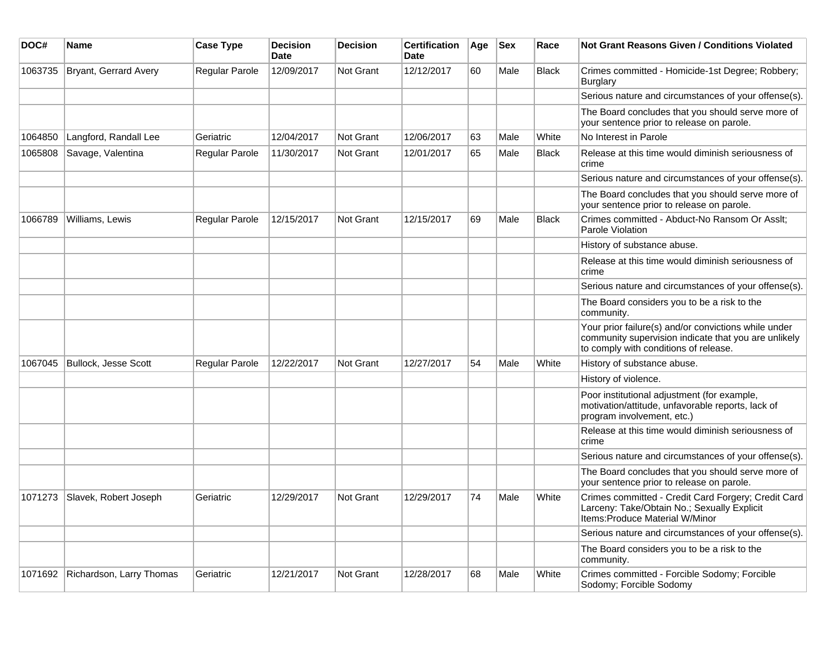| DOC#    | <b>Name</b>              | <b>Case Type</b> | <b>Decision</b><br>Date | <b>Decision</b>  | <b>Certification</b><br>Date | Age | <b>Sex</b> | Race         | Not Grant Reasons Given / Conditions Violated                                                                                                         |
|---------|--------------------------|------------------|-------------------------|------------------|------------------------------|-----|------------|--------------|-------------------------------------------------------------------------------------------------------------------------------------------------------|
| 1063735 | Bryant, Gerrard Avery    | Regular Parole   | 12/09/2017              | Not Grant        | 12/12/2017                   | 60  | Male       | Black        | Crimes committed - Homicide-1st Degree; Robbery;<br><b>Burglary</b>                                                                                   |
|         |                          |                  |                         |                  |                              |     |            |              | Serious nature and circumstances of your offense(s).                                                                                                  |
|         |                          |                  |                         |                  |                              |     |            |              | The Board concludes that you should serve more of<br>your sentence prior to release on parole.                                                        |
| 1064850 | Langford, Randall Lee    | Geriatric        | 12/04/2017              | Not Grant        | 12/06/2017                   | 63  | Male       | White        | No Interest in Parole                                                                                                                                 |
| 1065808 | Savage, Valentina        | Regular Parole   | 11/30/2017              | <b>Not Grant</b> | 12/01/2017                   | 65  | Male       | <b>Black</b> | Release at this time would diminish seriousness of<br>crime                                                                                           |
|         |                          |                  |                         |                  |                              |     |            |              | Serious nature and circumstances of your offense(s).                                                                                                  |
|         |                          |                  |                         |                  |                              |     |            |              | The Board concludes that you should serve more of<br>your sentence prior to release on parole.                                                        |
| 1066789 | Williams, Lewis          | Regular Parole   | 12/15/2017              | Not Grant        | 12/15/2017                   | 69  | Male       | <b>Black</b> | Crimes committed - Abduct-No Ransom Or Asslt;<br>Parole Violation                                                                                     |
|         |                          |                  |                         |                  |                              |     |            |              | History of substance abuse.                                                                                                                           |
|         |                          |                  |                         |                  |                              |     |            |              | Release at this time would diminish seriousness of<br>crime                                                                                           |
|         |                          |                  |                         |                  |                              |     |            |              | Serious nature and circumstances of your offense(s).                                                                                                  |
|         |                          |                  |                         |                  |                              |     |            |              | The Board considers you to be a risk to the<br>community.                                                                                             |
|         |                          |                  |                         |                  |                              |     |            |              | Your prior failure(s) and/or convictions while under<br>community supervision indicate that you are unlikely<br>to comply with conditions of release. |
| 1067045 | Bullock, Jesse Scott     | Regular Parole   | 12/22/2017              | Not Grant        | 12/27/2017                   | 54  | Male       | White        | History of substance abuse.                                                                                                                           |
|         |                          |                  |                         |                  |                              |     |            |              | History of violence.                                                                                                                                  |
|         |                          |                  |                         |                  |                              |     |            |              | Poor institutional adjustment (for example,<br>motivation/attitude, unfavorable reports, lack of<br>program involvement, etc.)                        |
|         |                          |                  |                         |                  |                              |     |            |              | Release at this time would diminish seriousness of<br>crime                                                                                           |
|         |                          |                  |                         |                  |                              |     |            |              | Serious nature and circumstances of your offense(s).                                                                                                  |
|         |                          |                  |                         |                  |                              |     |            |              | The Board concludes that you should serve more of<br>your sentence prior to release on parole.                                                        |
| 1071273 | Slavek, Robert Joseph    | Geriatric        | 12/29/2017              | Not Grant        | 12/29/2017                   | 74  | Male       | White        | Crimes committed - Credit Card Forgery; Credit Card<br>Larceny: Take/Obtain No.; Sexually Explicit<br>Items: Produce Material W/Minor                 |
|         |                          |                  |                         |                  |                              |     |            |              | Serious nature and circumstances of your offense(s).                                                                                                  |
|         |                          |                  |                         |                  |                              |     |            |              | The Board considers you to be a risk to the<br>community.                                                                                             |
| 1071692 | Richardson, Larry Thomas | Geriatric        | 12/21/2017              | Not Grant        | 12/28/2017                   | 68  | Male       | White        | Crimes committed - Forcible Sodomy; Forcible<br>Sodomy; Forcible Sodomy                                                                               |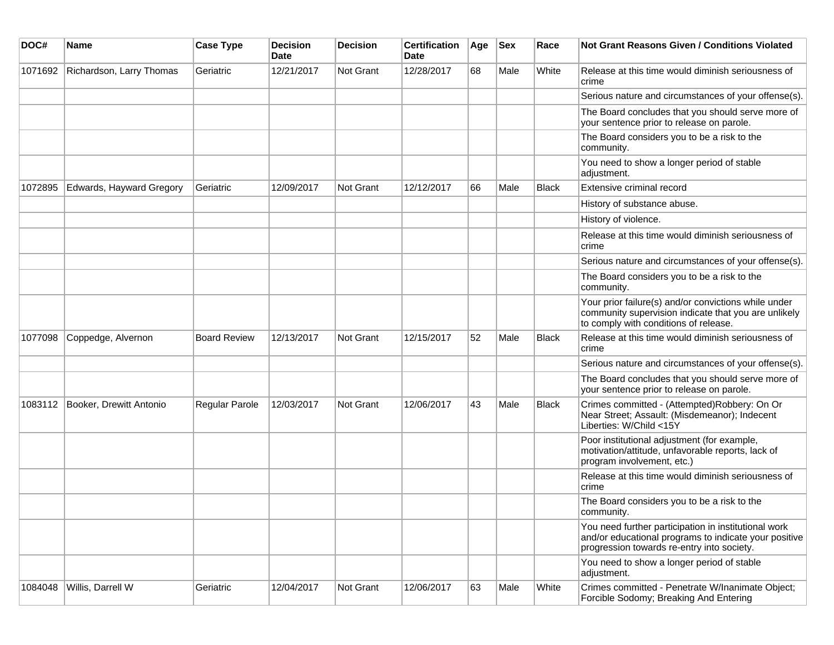| DOC#    | Name                     | <b>Case Type</b>    | <b>Decision</b><br><b>Date</b> | <b>Decision</b>  | <b>Certification</b><br>Date | Age | <b>Sex</b> | Race  | <b>Not Grant Reasons Given / Conditions Violated</b>                                                                                                        |
|---------|--------------------------|---------------------|--------------------------------|------------------|------------------------------|-----|------------|-------|-------------------------------------------------------------------------------------------------------------------------------------------------------------|
| 1071692 | Richardson, Larry Thomas | Geriatric           | 12/21/2017                     | Not Grant        | 12/28/2017                   | 68  | Male       | White | Release at this time would diminish seriousness of<br>crime                                                                                                 |
|         |                          |                     |                                |                  |                              |     |            |       | Serious nature and circumstances of your offense(s).                                                                                                        |
|         |                          |                     |                                |                  |                              |     |            |       | The Board concludes that you should serve more of<br>your sentence prior to release on parole.                                                              |
|         |                          |                     |                                |                  |                              |     |            |       | The Board considers you to be a risk to the<br>community.                                                                                                   |
|         |                          |                     |                                |                  |                              |     |            |       | You need to show a longer period of stable<br>adjustment.                                                                                                   |
| 1072895 | Edwards, Hayward Gregory | Geriatric           | 12/09/2017                     | <b>Not Grant</b> | 12/12/2017                   | 66  | Male       | Black | Extensive criminal record                                                                                                                                   |
|         |                          |                     |                                |                  |                              |     |            |       | History of substance abuse.                                                                                                                                 |
|         |                          |                     |                                |                  |                              |     |            |       | History of violence.                                                                                                                                        |
|         |                          |                     |                                |                  |                              |     |            |       | Release at this time would diminish seriousness of<br>crime                                                                                                 |
|         |                          |                     |                                |                  |                              |     |            |       | Serious nature and circumstances of your offense(s).                                                                                                        |
|         |                          |                     |                                |                  |                              |     |            |       | The Board considers you to be a risk to the<br>community.                                                                                                   |
|         |                          |                     |                                |                  |                              |     |            |       | Your prior failure(s) and/or convictions while under<br>community supervision indicate that you are unlikely<br>to comply with conditions of release.       |
| 1077098 | Coppedge, Alvernon       | <b>Board Review</b> | 12/13/2017                     | <b>Not Grant</b> | 12/15/2017                   | 52  | Male       | Black | Release at this time would diminish seriousness of<br>crime                                                                                                 |
|         |                          |                     |                                |                  |                              |     |            |       | Serious nature and circumstances of your offense(s).                                                                                                        |
|         |                          |                     |                                |                  |                              |     |            |       | The Board concludes that you should serve more of<br>your sentence prior to release on parole.                                                              |
| 1083112 | Booker, Drewitt Antonio  | Regular Parole      | 12/03/2017                     | Not Grant        | 12/06/2017                   | 43  | Male       | Black | Crimes committed - (Attempted)Robbery: On Or<br>Near Street; Assault: (Misdemeanor); Indecent<br>Liberties: W/Child <15Y                                    |
|         |                          |                     |                                |                  |                              |     |            |       | Poor institutional adjustment (for example,<br>motivation/attitude, unfavorable reports, lack of<br>program involvement, etc.)                              |
|         |                          |                     |                                |                  |                              |     |            |       | Release at this time would diminish seriousness of<br>crime                                                                                                 |
|         |                          |                     |                                |                  |                              |     |            |       | The Board considers you to be a risk to the<br>community.                                                                                                   |
|         |                          |                     |                                |                  |                              |     |            |       | You need further participation in institutional work<br>and/or educational programs to indicate your positive<br>progression towards re-entry into society. |
|         |                          |                     |                                |                  |                              |     |            |       | You need to show a longer period of stable<br>adjustment.                                                                                                   |
| 1084048 | Willis, Darrell W        | Geriatric           | 12/04/2017                     | Not Grant        | 12/06/2017                   | 63  | Male       | White | Crimes committed - Penetrate W/Inanimate Object;<br>Forcible Sodomy; Breaking And Entering                                                                  |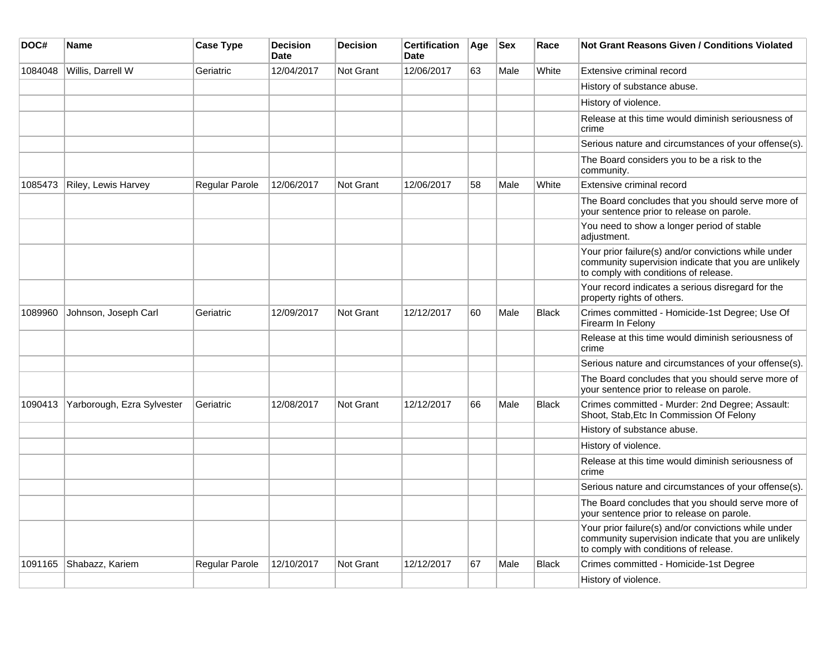| DOC#    | <b>Name</b>                | <b>Case Type</b> | <b>Decision</b><br><b>Date</b> | <b>Decision</b>  | <b>Certification</b><br><b>Date</b> | Age | <b>Sex</b> | Race         | <b>Not Grant Reasons Given / Conditions Violated</b>                                                                                                  |
|---------|----------------------------|------------------|--------------------------------|------------------|-------------------------------------|-----|------------|--------------|-------------------------------------------------------------------------------------------------------------------------------------------------------|
| 1084048 | Willis, Darrell W          | Geriatric        | 12/04/2017                     | Not Grant        | 12/06/2017                          | 63  | Male       | White        | Extensive criminal record                                                                                                                             |
|         |                            |                  |                                |                  |                                     |     |            |              | History of substance abuse.                                                                                                                           |
|         |                            |                  |                                |                  |                                     |     |            |              | History of violence.                                                                                                                                  |
|         |                            |                  |                                |                  |                                     |     |            |              | Release at this time would diminish seriousness of<br>crime                                                                                           |
|         |                            |                  |                                |                  |                                     |     |            |              | Serious nature and circumstances of your offense(s).                                                                                                  |
|         |                            |                  |                                |                  |                                     |     |            |              | The Board considers you to be a risk to the<br>community.                                                                                             |
| 1085473 | Riley, Lewis Harvey        | Regular Parole   | 12/06/2017                     | <b>Not Grant</b> | 12/06/2017                          | 58  | Male       | White        | Extensive criminal record                                                                                                                             |
|         |                            |                  |                                |                  |                                     |     |            |              | The Board concludes that you should serve more of<br>your sentence prior to release on parole.                                                        |
|         |                            |                  |                                |                  |                                     |     |            |              | You need to show a longer period of stable<br>adjustment.                                                                                             |
|         |                            |                  |                                |                  |                                     |     |            |              | Your prior failure(s) and/or convictions while under<br>community supervision indicate that you are unlikely<br>to comply with conditions of release. |
|         |                            |                  |                                |                  |                                     |     |            |              | Your record indicates a serious disregard for the<br>property rights of others.                                                                       |
| 1089960 | Johnson, Joseph Carl       | Geriatric        | 12/09/2017                     | Not Grant        | 12/12/2017                          | 60  | Male       | Black        | Crimes committed - Homicide-1st Degree; Use Of<br>Firearm In Felony                                                                                   |
|         |                            |                  |                                |                  |                                     |     |            |              | Release at this time would diminish seriousness of<br>crime                                                                                           |
|         |                            |                  |                                |                  |                                     |     |            |              | Serious nature and circumstances of your offense(s).                                                                                                  |
|         |                            |                  |                                |                  |                                     |     |            |              | The Board concludes that you should serve more of<br>your sentence prior to release on parole.                                                        |
| 1090413 | Yarborough, Ezra Sylvester | Geriatric        | 12/08/2017                     | <b>Not Grant</b> | 12/12/2017                          | 66  | Male       | Black        | Crimes committed - Murder: 2nd Degree; Assault:<br>Shoot, Stab, Etc In Commission Of Felony                                                           |
|         |                            |                  |                                |                  |                                     |     |            |              | History of substance abuse.                                                                                                                           |
|         |                            |                  |                                |                  |                                     |     |            |              | History of violence.                                                                                                                                  |
|         |                            |                  |                                |                  |                                     |     |            |              | Release at this time would diminish seriousness of<br>crime                                                                                           |
|         |                            |                  |                                |                  |                                     |     |            |              | Serious nature and circumstances of your offense(s).                                                                                                  |
|         |                            |                  |                                |                  |                                     |     |            |              | The Board concludes that you should serve more of<br>your sentence prior to release on parole.                                                        |
|         |                            |                  |                                |                  |                                     |     |            |              | Your prior failure(s) and/or convictions while under<br>community supervision indicate that you are unlikely<br>to comply with conditions of release. |
| 1091165 | Shabazz, Kariem            | Regular Parole   | 12/10/2017                     | <b>Not Grant</b> | 12/12/2017                          | 67  | Male       | <b>Black</b> | Crimes committed - Homicide-1st Degree                                                                                                                |
|         |                            |                  |                                |                  |                                     |     |            |              | History of violence.                                                                                                                                  |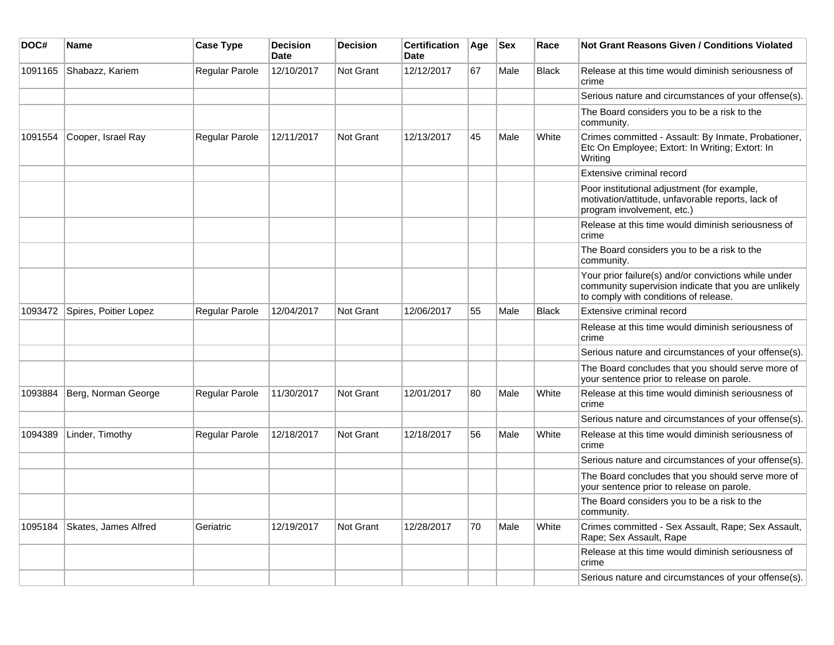| DOC#    | Name                  | <b>Case Type</b>      | <b>Decision</b><br><b>Date</b> | <b>Decision</b>  | <b>Certification</b><br><b>Date</b> | Age | <b>Sex</b> | Race         | <b>Not Grant Reasons Given / Conditions Violated</b>                                                                                                  |
|---------|-----------------------|-----------------------|--------------------------------|------------------|-------------------------------------|-----|------------|--------------|-------------------------------------------------------------------------------------------------------------------------------------------------------|
| 1091165 | Shabazz, Kariem       | <b>Regular Parole</b> | 12/10/2017                     | Not Grant        | 12/12/2017                          | 67  | Male       | <b>Black</b> | Release at this time would diminish seriousness of<br>crime                                                                                           |
|         |                       |                       |                                |                  |                                     |     |            |              | Serious nature and circumstances of your offense(s).                                                                                                  |
|         |                       |                       |                                |                  |                                     |     |            |              | The Board considers you to be a risk to the<br>community.                                                                                             |
| 1091554 | Cooper, Israel Ray    | <b>Regular Parole</b> | 12/11/2017                     | <b>Not Grant</b> | 12/13/2017                          | 45  | Male       | White        | Crimes committed - Assault: By Inmate, Probationer,<br>Etc On Employee; Extort: In Writing; Extort: In<br>Writing                                     |
|         |                       |                       |                                |                  |                                     |     |            |              | <b>Extensive criminal record</b>                                                                                                                      |
|         |                       |                       |                                |                  |                                     |     |            |              | Poor institutional adjustment (for example,<br>motivation/attitude, unfavorable reports, lack of<br>program involvement, etc.)                        |
|         |                       |                       |                                |                  |                                     |     |            |              | Release at this time would diminish seriousness of<br>crime                                                                                           |
|         |                       |                       |                                |                  |                                     |     |            |              | The Board considers you to be a risk to the<br>community.                                                                                             |
|         |                       |                       |                                |                  |                                     |     |            |              | Your prior failure(s) and/or convictions while under<br>community supervision indicate that you are unlikely<br>to comply with conditions of release. |
| 1093472 | Spires, Poitier Lopez | <b>Regular Parole</b> | 12/04/2017                     | <b>Not Grant</b> | 12/06/2017                          | 55  | Male       | <b>Black</b> | <b>Extensive criminal record</b>                                                                                                                      |
|         |                       |                       |                                |                  |                                     |     |            |              | Release at this time would diminish seriousness of<br>crime                                                                                           |
|         |                       |                       |                                |                  |                                     |     |            |              | Serious nature and circumstances of your offense(s).                                                                                                  |
|         |                       |                       |                                |                  |                                     |     |            |              | The Board concludes that you should serve more of<br>your sentence prior to release on parole.                                                        |
| 1093884 | Berg, Norman George   | <b>Regular Parole</b> | 11/30/2017                     | Not Grant        | 12/01/2017                          | 80  | Male       | White        | Release at this time would diminish seriousness of<br>crime                                                                                           |
|         |                       |                       |                                |                  |                                     |     |            |              | Serious nature and circumstances of your offense(s).                                                                                                  |
| 1094389 | Linder, Timothy       | Regular Parole        | 12/18/2017                     | <b>Not Grant</b> | 12/18/2017                          | 56  | Male       | White        | Release at this time would diminish seriousness of<br>crime                                                                                           |
|         |                       |                       |                                |                  |                                     |     |            |              | Serious nature and circumstances of your offense(s).                                                                                                  |
|         |                       |                       |                                |                  |                                     |     |            |              | The Board concludes that you should serve more of<br>your sentence prior to release on parole.                                                        |
|         |                       |                       |                                |                  |                                     |     |            |              | The Board considers you to be a risk to the<br>community.                                                                                             |
| 1095184 | Skates, James Alfred  | Geriatric             | 12/19/2017                     | Not Grant        | 12/28/2017                          | 70  | Male       | White        | Crimes committed - Sex Assault, Rape; Sex Assault,<br>Rape; Sex Assault, Rape                                                                         |
|         |                       |                       |                                |                  |                                     |     |            |              | Release at this time would diminish seriousness of<br>crime                                                                                           |
|         |                       |                       |                                |                  |                                     |     |            |              | Serious nature and circumstances of your offense(s).                                                                                                  |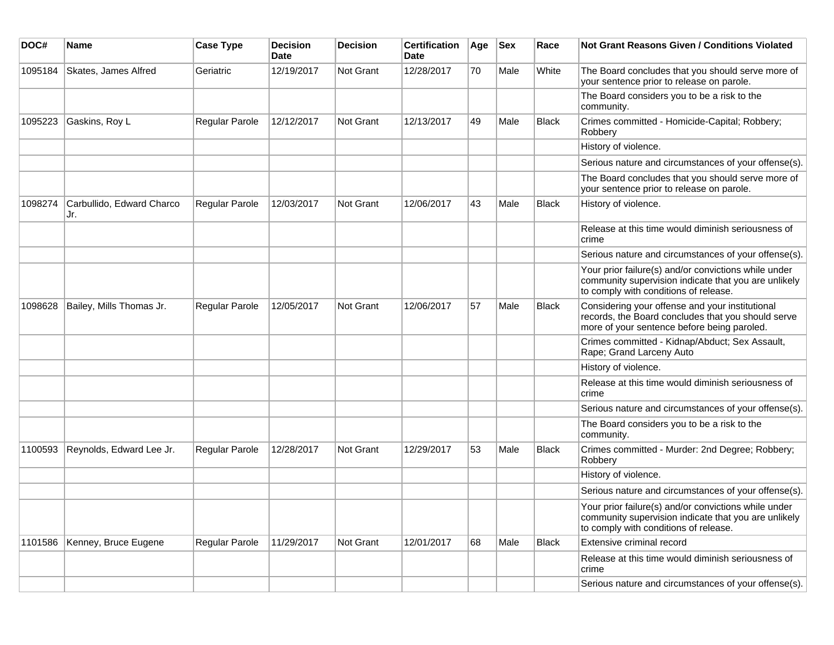| DOC#    | Name                             | <b>Case Type</b> | <b>Decision</b><br><b>Date</b> | <b>Decision</b>  | <b>Certification</b><br>Date | Age | <b>Sex</b> | Race         | Not Grant Reasons Given / Conditions Violated                                                                                                         |
|---------|----------------------------------|------------------|--------------------------------|------------------|------------------------------|-----|------------|--------------|-------------------------------------------------------------------------------------------------------------------------------------------------------|
| 1095184 | Skates, James Alfred             | Geriatric        | 12/19/2017                     | Not Grant        | 12/28/2017                   | 70  | Male       | White        | The Board concludes that you should serve more of<br>your sentence prior to release on parole.                                                        |
|         |                                  |                  |                                |                  |                              |     |            |              | The Board considers you to be a risk to the<br>community.                                                                                             |
| 1095223 | Gaskins, Roy L                   | Regular Parole   | 12/12/2017                     | Not Grant        | 12/13/2017                   | 49  | Male       | <b>Black</b> | Crimes committed - Homicide-Capital; Robbery;<br>Robbery                                                                                              |
|         |                                  |                  |                                |                  |                              |     |            |              | History of violence.                                                                                                                                  |
|         |                                  |                  |                                |                  |                              |     |            |              | Serious nature and circumstances of your offense(s).                                                                                                  |
|         |                                  |                  |                                |                  |                              |     |            |              | The Board concludes that you should serve more of<br>your sentence prior to release on parole.                                                        |
| 1098274 | Carbullido, Edward Charco<br>Jr. | Regular Parole   | 12/03/2017                     | Not Grant        | 12/06/2017                   | 43  | Male       | <b>Black</b> | History of violence.                                                                                                                                  |
|         |                                  |                  |                                |                  |                              |     |            |              | Release at this time would diminish seriousness of<br>crime                                                                                           |
|         |                                  |                  |                                |                  |                              |     |            |              | Serious nature and circumstances of your offense(s).                                                                                                  |
|         |                                  |                  |                                |                  |                              |     |            |              | Your prior failure(s) and/or convictions while under<br>community supervision indicate that you are unlikely<br>to comply with conditions of release. |
| 1098628 | Bailey, Mills Thomas Jr.         | Regular Parole   | 12/05/2017                     | <b>Not Grant</b> | 12/06/2017                   | 57  | Male       | <b>Black</b> | Considering your offense and your institutional<br>records, the Board concludes that you should serve<br>more of your sentence before being paroled.  |
|         |                                  |                  |                                |                  |                              |     |            |              | Crimes committed - Kidnap/Abduct; Sex Assault,<br>Rape; Grand Larceny Auto                                                                            |
|         |                                  |                  |                                |                  |                              |     |            |              | History of violence.                                                                                                                                  |
|         |                                  |                  |                                |                  |                              |     |            |              | Release at this time would diminish seriousness of<br>crime                                                                                           |
|         |                                  |                  |                                |                  |                              |     |            |              | Serious nature and circumstances of your offense(s).                                                                                                  |
|         |                                  |                  |                                |                  |                              |     |            |              | The Board considers you to be a risk to the<br>community.                                                                                             |
| 1100593 | Reynolds, Edward Lee Jr.         | Regular Parole   | 12/28/2017                     | Not Grant        | 12/29/2017                   | 53  | Male       | <b>Black</b> | Crimes committed - Murder: 2nd Degree; Robbery;<br>Robbery                                                                                            |
|         |                                  |                  |                                |                  |                              |     |            |              | History of violence.                                                                                                                                  |
|         |                                  |                  |                                |                  |                              |     |            |              | Serious nature and circumstances of your offense(s).                                                                                                  |
|         |                                  |                  |                                |                  |                              |     |            |              | Your prior failure(s) and/or convictions while under<br>community supervision indicate that you are unlikely<br>to comply with conditions of release. |
| 1101586 | Kenney, Bruce Eugene             | Regular Parole   | 11/29/2017                     | Not Grant        | 12/01/2017                   | 68  | Male       | Black        | Extensive criminal record                                                                                                                             |
|         |                                  |                  |                                |                  |                              |     |            |              | Release at this time would diminish seriousness of<br>crime                                                                                           |
|         |                                  |                  |                                |                  |                              |     |            |              | Serious nature and circumstances of your offense(s).                                                                                                  |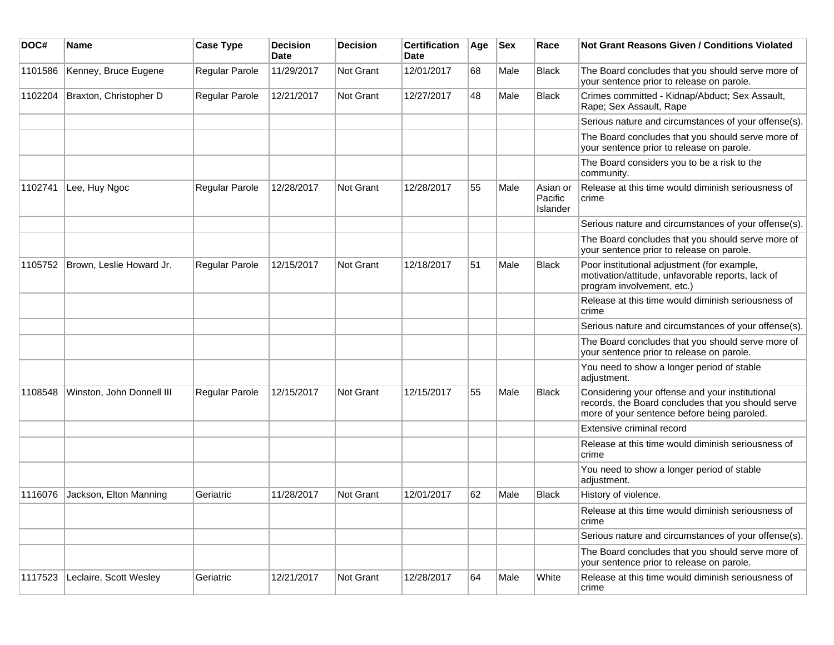| DOC#    | Name                      | <b>Case Type</b>      | <b>Decision</b><br>Date | <b>Decision</b> | <b>Certification</b><br>Date | Age | <b>Sex</b> | Race                            | <b>Not Grant Reasons Given / Conditions Violated</b>                                                                                                 |
|---------|---------------------------|-----------------------|-------------------------|-----------------|------------------------------|-----|------------|---------------------------------|------------------------------------------------------------------------------------------------------------------------------------------------------|
| 1101586 | Kenney, Bruce Eugene      | <b>Regular Parole</b> | 11/29/2017              | Not Grant       | 12/01/2017                   | 68  | Male       | <b>Black</b>                    | The Board concludes that you should serve more of<br>your sentence prior to release on parole.                                                       |
| 1102204 | Braxton, Christopher D    | Regular Parole        | 12/21/2017              | Not Grant       | 12/27/2017                   | 48  | Male       | <b>Black</b>                    | Crimes committed - Kidnap/Abduct; Sex Assault,<br>Rape; Sex Assault, Rape                                                                            |
|         |                           |                       |                         |                 |                              |     |            |                                 | Serious nature and circumstances of your offense(s).                                                                                                 |
|         |                           |                       |                         |                 |                              |     |            |                                 | The Board concludes that you should serve more of<br>your sentence prior to release on parole.                                                       |
|         |                           |                       |                         |                 |                              |     |            |                                 | The Board considers you to be a risk to the<br>community.                                                                                            |
| 1102741 | Lee, Huy Ngoc             | Regular Parole        | 12/28/2017              | Not Grant       | 12/28/2017                   | 55  | Male       | Asian or<br>Pacific<br>Islander | Release at this time would diminish seriousness of<br>crime                                                                                          |
|         |                           |                       |                         |                 |                              |     |            |                                 | Serious nature and circumstances of your offense(s).                                                                                                 |
|         |                           |                       |                         |                 |                              |     |            |                                 | The Board concludes that you should serve more of<br>your sentence prior to release on parole.                                                       |
| 1105752 | Brown, Leslie Howard Jr.  | Regular Parole        | 12/15/2017              | Not Grant       | 12/18/2017                   | 51  | Male       | <b>Black</b>                    | Poor institutional adjustment (for example,<br>motivation/attitude, unfavorable reports, lack of<br>program involvement, etc.)                       |
|         |                           |                       |                         |                 |                              |     |            |                                 | Release at this time would diminish seriousness of<br>crime                                                                                          |
|         |                           |                       |                         |                 |                              |     |            |                                 | Serious nature and circumstances of your offense(s).                                                                                                 |
|         |                           |                       |                         |                 |                              |     |            |                                 | The Board concludes that you should serve more of<br>your sentence prior to release on parole.                                                       |
|         |                           |                       |                         |                 |                              |     |            |                                 | You need to show a longer period of stable<br>adjustment.                                                                                            |
| 1108548 | Winston, John Donnell III | Regular Parole        | 12/15/2017              | Not Grant       | 12/15/2017                   | 55  | Male       | <b>Black</b>                    | Considering your offense and your institutional<br>records, the Board concludes that you should serve<br>more of your sentence before being paroled. |
|         |                           |                       |                         |                 |                              |     |            |                                 | Extensive criminal record                                                                                                                            |
|         |                           |                       |                         |                 |                              |     |            |                                 | Release at this time would diminish seriousness of<br>crime                                                                                          |
|         |                           |                       |                         |                 |                              |     |            |                                 | You need to show a longer period of stable<br>adjustment.                                                                                            |
| 1116076 | Jackson, Elton Manning    | Geriatric             | 11/28/2017              | Not Grant       | 12/01/2017                   | 62  | Male       | <b>Black</b>                    | History of violence.                                                                                                                                 |
|         |                           |                       |                         |                 |                              |     |            |                                 | Release at this time would diminish seriousness of<br>crime                                                                                          |
|         |                           |                       |                         |                 |                              |     |            |                                 | Serious nature and circumstances of your offense(s).                                                                                                 |
|         |                           |                       |                         |                 |                              |     |            |                                 | The Board concludes that you should serve more of<br>your sentence prior to release on parole.                                                       |
| 1117523 | Leclaire, Scott Wesley    | Geriatric             | 12/21/2017              | Not Grant       | 12/28/2017                   | 64  | Male       | White                           | Release at this time would diminish seriousness of<br>crime                                                                                          |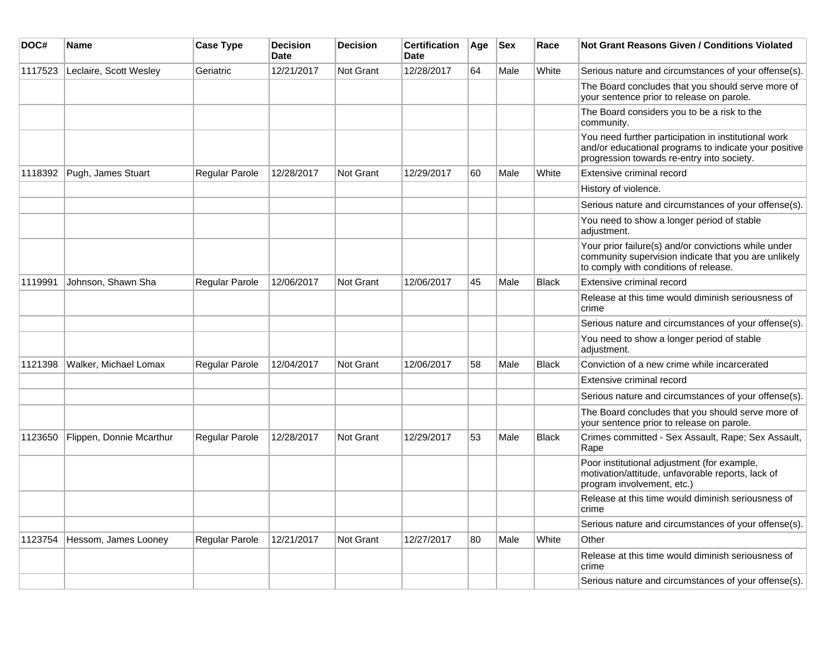| DOC#    | Name                     | <b>Case Type</b>      | <b>Decision</b><br><b>Date</b> | <b>Decision</b> | <b>Certification</b><br>Date | Age | <b>Sex</b> | Race         | <b>Not Grant Reasons Given / Conditions Violated</b>                                                                                                        |
|---------|--------------------------|-----------------------|--------------------------------|-----------------|------------------------------|-----|------------|--------------|-------------------------------------------------------------------------------------------------------------------------------------------------------------|
| 1117523 | Leclaire, Scott Wesley   | Geriatric             | 12/21/2017                     | Not Grant       | 12/28/2017                   | 64  | Male       | White        | Serious nature and circumstances of your offense(s).                                                                                                        |
|         |                          |                       |                                |                 |                              |     |            |              | The Board concludes that you should serve more of<br>your sentence prior to release on parole.                                                              |
|         |                          |                       |                                |                 |                              |     |            |              | The Board considers you to be a risk to the<br>community.                                                                                                   |
|         |                          |                       |                                |                 |                              |     |            |              | You need further participation in institutional work<br>and/or educational programs to indicate your positive<br>progression towards re-entry into society. |
| 1118392 | Pugh, James Stuart       | Regular Parole        | 12/28/2017                     | Not Grant       | 12/29/2017                   | 60  | Male       | White        | Extensive criminal record                                                                                                                                   |
|         |                          |                       |                                |                 |                              |     |            |              | History of violence.                                                                                                                                        |
|         |                          |                       |                                |                 |                              |     |            |              | Serious nature and circumstances of your offense(s).                                                                                                        |
|         |                          |                       |                                |                 |                              |     |            |              | You need to show a longer period of stable<br>adjustment.                                                                                                   |
|         |                          |                       |                                |                 |                              |     |            |              | Your prior failure(s) and/or convictions while under<br>community supervision indicate that you are unlikely<br>to comply with conditions of release.       |
| 1119991 | Johnson, Shawn Sha       | <b>Regular Parole</b> | 12/06/2017                     | Not Grant       | 12/06/2017                   | 45  | Male       | <b>Black</b> | Extensive criminal record                                                                                                                                   |
|         |                          |                       |                                |                 |                              |     |            |              | Release at this time would diminish seriousness of<br>crime                                                                                                 |
|         |                          |                       |                                |                 |                              |     |            |              | Serious nature and circumstances of your offense(s).                                                                                                        |
|         |                          |                       |                                |                 |                              |     |            |              | You need to show a longer period of stable<br>adjustment.                                                                                                   |
| 1121398 | Walker, Michael Lomax    | Regular Parole        | 12/04/2017                     | Not Grant       | 12/06/2017                   | 58  | Male       | Black        | Conviction of a new crime while incarcerated                                                                                                                |
|         |                          |                       |                                |                 |                              |     |            |              | Extensive criminal record                                                                                                                                   |
|         |                          |                       |                                |                 |                              |     |            |              | Serious nature and circumstances of your offense(s).                                                                                                        |
|         |                          |                       |                                |                 |                              |     |            |              | The Board concludes that you should serve more of<br>your sentence prior to release on parole.                                                              |
| 1123650 | Flippen, Donnie Mcarthur | Regular Parole        | 12/28/2017                     | Not Grant       | 12/29/2017                   | 53  | Male       | <b>Black</b> | Crimes committed - Sex Assault, Rape; Sex Assault,<br>Rape                                                                                                  |
|         |                          |                       |                                |                 |                              |     |            |              | Poor institutional adjustment (for example,<br>motivation/attitude, unfavorable reports, lack of<br>program involvement, etc.)                              |
|         |                          |                       |                                |                 |                              |     |            |              | Release at this time would diminish seriousness of<br>crime                                                                                                 |
|         |                          |                       |                                |                 |                              |     |            |              | Serious nature and circumstances of your offense(s).                                                                                                        |
| 1123754 | Hessom, James Looney     | Regular Parole        | 12/21/2017                     | Not Grant       | 12/27/2017                   | 80  | Male       | White        | Other                                                                                                                                                       |
|         |                          |                       |                                |                 |                              |     |            |              | Release at this time would diminish seriousness of<br>crime                                                                                                 |
|         |                          |                       |                                |                 |                              |     |            |              | Serious nature and circumstances of your offense(s).                                                                                                        |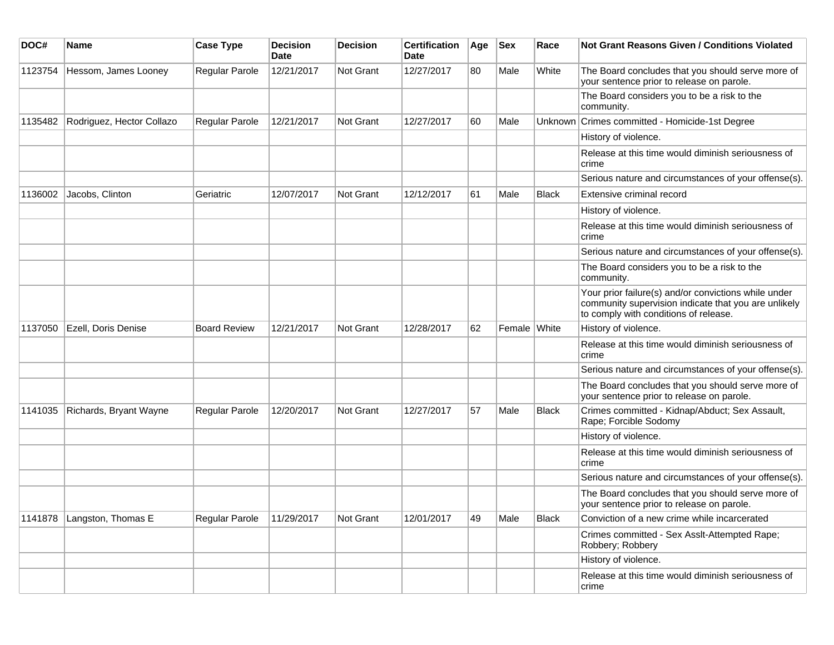| DOC#    | <b>Name</b>               | <b>Case Type</b>    | <b>Decision</b><br><b>Date</b> | <b>Decision</b> | <b>Certification</b><br>Date | Age | <b>Sex</b>   | Race         | Not Grant Reasons Given / Conditions Violated                                                                                                         |
|---------|---------------------------|---------------------|--------------------------------|-----------------|------------------------------|-----|--------------|--------------|-------------------------------------------------------------------------------------------------------------------------------------------------------|
| 1123754 | Hessom, James Looney      | Regular Parole      | 12/21/2017                     | Not Grant       | 12/27/2017                   | 80  | Male         | White        | The Board concludes that you should serve more of<br>your sentence prior to release on parole.                                                        |
|         |                           |                     |                                |                 |                              |     |              |              | The Board considers you to be a risk to the<br>community.                                                                                             |
| 1135482 | Rodriguez, Hector Collazo | Regular Parole      | 12/21/2017                     | Not Grant       | 12/27/2017                   | 60  | Male         |              | Unknown Crimes committed - Homicide-1st Degree                                                                                                        |
|         |                           |                     |                                |                 |                              |     |              |              | History of violence.                                                                                                                                  |
|         |                           |                     |                                |                 |                              |     |              |              | Release at this time would diminish seriousness of<br>crime                                                                                           |
|         |                           |                     |                                |                 |                              |     |              |              | Serious nature and circumstances of your offense(s).                                                                                                  |
| 1136002 | Jacobs, Clinton           | Geriatric           | 12/07/2017                     | Not Grant       | 12/12/2017                   | 61  | Male         | Black        | Extensive criminal record                                                                                                                             |
|         |                           |                     |                                |                 |                              |     |              |              | History of violence.                                                                                                                                  |
|         |                           |                     |                                |                 |                              |     |              |              | Release at this time would diminish seriousness of<br>crime                                                                                           |
|         |                           |                     |                                |                 |                              |     |              |              | Serious nature and circumstances of your offense(s).                                                                                                  |
|         |                           |                     |                                |                 |                              |     |              |              | The Board considers you to be a risk to the<br>community.                                                                                             |
|         |                           |                     |                                |                 |                              |     |              |              | Your prior failure(s) and/or convictions while under<br>community supervision indicate that you are unlikely<br>to comply with conditions of release. |
| 1137050 | Ezell, Doris Denise       | <b>Board Review</b> | 12/21/2017                     | Not Grant       | 12/28/2017                   | 62  | Female White |              | History of violence.                                                                                                                                  |
|         |                           |                     |                                |                 |                              |     |              |              | Release at this time would diminish seriousness of<br>crime                                                                                           |
|         |                           |                     |                                |                 |                              |     |              |              | Serious nature and circumstances of your offense(s).                                                                                                  |
|         |                           |                     |                                |                 |                              |     |              |              | The Board concludes that you should serve more of<br>your sentence prior to release on parole.                                                        |
| 1141035 | Richards, Bryant Wayne    | Regular Parole      | 12/20/2017                     | Not Grant       | 12/27/2017                   | 57  | Male         | <b>Black</b> | Crimes committed - Kidnap/Abduct; Sex Assault,<br>Rape; Forcible Sodomy                                                                               |
|         |                           |                     |                                |                 |                              |     |              |              | History of violence.                                                                                                                                  |
|         |                           |                     |                                |                 |                              |     |              |              | Release at this time would diminish seriousness of<br>crime                                                                                           |
|         |                           |                     |                                |                 |                              |     |              |              | Serious nature and circumstances of your offense(s).                                                                                                  |
|         |                           |                     |                                |                 |                              |     |              |              | The Board concludes that you should serve more of<br>your sentence prior to release on parole.                                                        |
| 1141878 | Langston, Thomas E        | Regular Parole      | 11/29/2017                     | Not Grant       | 12/01/2017                   | 49  | Male         | <b>Black</b> | Conviction of a new crime while incarcerated                                                                                                          |
|         |                           |                     |                                |                 |                              |     |              |              | Crimes committed - Sex Asslt-Attempted Rape;<br>Robbery; Robbery                                                                                      |
|         |                           |                     |                                |                 |                              |     |              |              | History of violence.                                                                                                                                  |
|         |                           |                     |                                |                 |                              |     |              |              | Release at this time would diminish seriousness of<br>crime                                                                                           |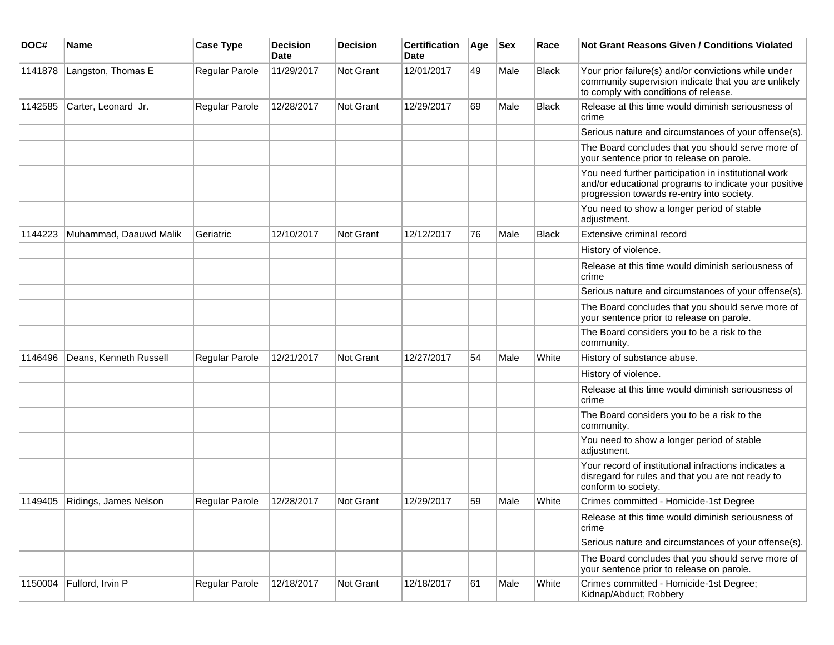| DOC#    | <b>Name</b>            | <b>Case Type</b>      | <b>Decision</b><br>Date | <b>Decision</b> | <b>Certification</b><br>Date | Age | <b>Sex</b> | Race         | Not Grant Reasons Given / Conditions Violated                                                                                                               |
|---------|------------------------|-----------------------|-------------------------|-----------------|------------------------------|-----|------------|--------------|-------------------------------------------------------------------------------------------------------------------------------------------------------------|
| 1141878 | Langston, Thomas E     | Regular Parole        | 11/29/2017              | Not Grant       | 12/01/2017                   | 49  | Male       | <b>Black</b> | Your prior failure(s) and/or convictions while under<br>community supervision indicate that you are unlikely<br>to comply with conditions of release.       |
| 1142585 | Carter, Leonard Jr.    | Regular Parole        | 12/28/2017              | Not Grant       | 12/29/2017                   | 69  | Male       | <b>Black</b> | Release at this time would diminish seriousness of<br>crime                                                                                                 |
|         |                        |                       |                         |                 |                              |     |            |              | Serious nature and circumstances of your offense(s).                                                                                                        |
|         |                        |                       |                         |                 |                              |     |            |              | The Board concludes that you should serve more of<br>your sentence prior to release on parole.                                                              |
|         |                        |                       |                         |                 |                              |     |            |              | You need further participation in institutional work<br>and/or educational programs to indicate your positive<br>progression towards re-entry into society. |
|         |                        |                       |                         |                 |                              |     |            |              | You need to show a longer period of stable<br>adjustment.                                                                                                   |
| 1144223 | Muhammad, Daauwd Malik | Geriatric             | 12/10/2017              | Not Grant       | 12/12/2017                   | 76  | Male       | <b>Black</b> | Extensive criminal record                                                                                                                                   |
|         |                        |                       |                         |                 |                              |     |            |              | History of violence.                                                                                                                                        |
|         |                        |                       |                         |                 |                              |     |            |              | Release at this time would diminish seriousness of<br>crime                                                                                                 |
|         |                        |                       |                         |                 |                              |     |            |              | Serious nature and circumstances of your offense(s).                                                                                                        |
|         |                        |                       |                         |                 |                              |     |            |              | The Board concludes that you should serve more of<br>your sentence prior to release on parole.                                                              |
|         |                        |                       |                         |                 |                              |     |            |              | The Board considers you to be a risk to the<br>community.                                                                                                   |
| 1146496 | Deans, Kenneth Russell | <b>Regular Parole</b> | 12/21/2017              | Not Grant       | 12/27/2017                   | 54  | Male       | White        | History of substance abuse.                                                                                                                                 |
|         |                        |                       |                         |                 |                              |     |            |              | History of violence.                                                                                                                                        |
|         |                        |                       |                         |                 |                              |     |            |              | Release at this time would diminish seriousness of<br>crime                                                                                                 |
|         |                        |                       |                         |                 |                              |     |            |              | The Board considers you to be a risk to the<br>community.                                                                                                   |
|         |                        |                       |                         |                 |                              |     |            |              | You need to show a longer period of stable<br>adjustment.                                                                                                   |
|         |                        |                       |                         |                 |                              |     |            |              | Your record of institutional infractions indicates a<br>disregard for rules and that you are not ready to<br>conform to society.                            |
| 1149405 | Ridings, James Nelson  | <b>Regular Parole</b> | 12/28/2017              | Not Grant       | 12/29/2017                   | 59  | Male       | White        | Crimes committed - Homicide-1st Degree                                                                                                                      |
|         |                        |                       |                         |                 |                              |     |            |              | Release at this time would diminish seriousness of<br>crime                                                                                                 |
|         |                        |                       |                         |                 |                              |     |            |              | Serious nature and circumstances of your offense(s).                                                                                                        |
|         |                        |                       |                         |                 |                              |     |            |              | The Board concludes that you should serve more of<br>your sentence prior to release on parole.                                                              |
| 1150004 | Fulford, Irvin P       | Regular Parole        | 12/18/2017              | Not Grant       | 12/18/2017                   | 61  | Male       | White        | Crimes committed - Homicide-1st Degree;<br>Kidnap/Abduct; Robbery                                                                                           |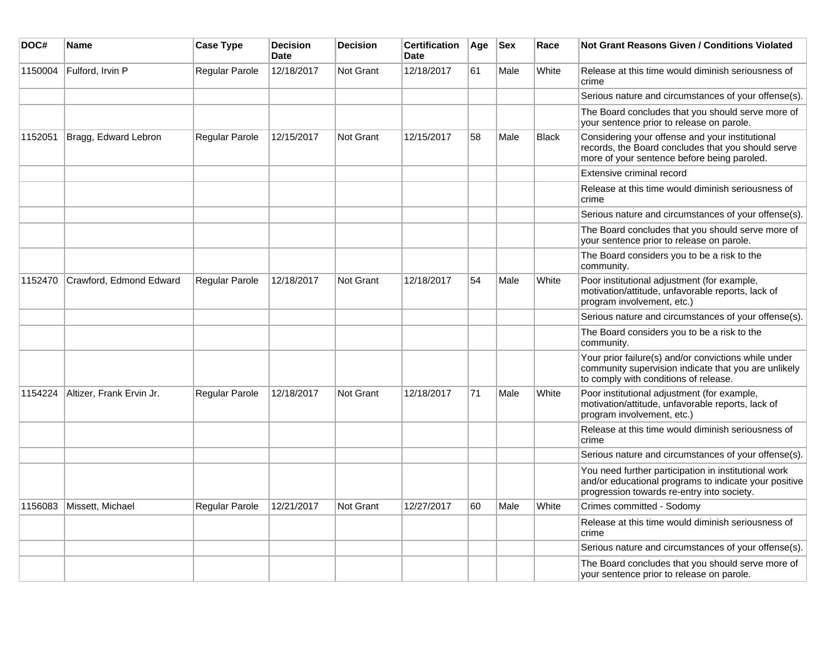| DOC#    | Name                     | <b>Case Type</b> | <b>Decision</b><br><b>Date</b> | <b>Decision</b>  | Certification<br><b>Date</b> | Age | <b>Sex</b> | Race         | Not Grant Reasons Given / Conditions Violated                                                                                                               |
|---------|--------------------------|------------------|--------------------------------|------------------|------------------------------|-----|------------|--------------|-------------------------------------------------------------------------------------------------------------------------------------------------------------|
| 1150004 | Fulford, Irvin P         | Regular Parole   | 12/18/2017                     | Not Grant        | 12/18/2017                   | 61  | Male       | White        | Release at this time would diminish seriousness of<br>crime                                                                                                 |
|         |                          |                  |                                |                  |                              |     |            |              | Serious nature and circumstances of your offense(s).                                                                                                        |
|         |                          |                  |                                |                  |                              |     |            |              | The Board concludes that you should serve more of<br>your sentence prior to release on parole.                                                              |
| 1152051 | Bragg, Edward Lebron     | Regular Parole   | 12/15/2017                     | Not Grant        | 12/15/2017                   | 58  | Male       | <b>Black</b> | Considering your offense and your institutional<br>records, the Board concludes that you should serve<br>more of your sentence before being paroled.        |
|         |                          |                  |                                |                  |                              |     |            |              | Extensive criminal record                                                                                                                                   |
|         |                          |                  |                                |                  |                              |     |            |              | Release at this time would diminish seriousness of<br>crime                                                                                                 |
|         |                          |                  |                                |                  |                              |     |            |              | Serious nature and circumstances of your offense(s).                                                                                                        |
|         |                          |                  |                                |                  |                              |     |            |              | The Board concludes that you should serve more of<br>your sentence prior to release on parole.                                                              |
|         |                          |                  |                                |                  |                              |     |            |              | The Board considers you to be a risk to the<br>community.                                                                                                   |
| 1152470 | Crawford, Edmond Edward  | Regular Parole   | 12/18/2017                     | Not Grant        | 12/18/2017                   | 54  | Male       | White        | Poor institutional adjustment (for example,<br>motivation/attitude, unfavorable reports, lack of<br>program involvement, etc.)                              |
|         |                          |                  |                                |                  |                              |     |            |              | Serious nature and circumstances of your offense(s).                                                                                                        |
|         |                          |                  |                                |                  |                              |     |            |              | The Board considers you to be a risk to the<br>community.                                                                                                   |
|         |                          |                  |                                |                  |                              |     |            |              | Your prior failure(s) and/or convictions while under<br>community supervision indicate that you are unlikely<br>to comply with conditions of release.       |
| 1154224 | Altizer, Frank Ervin Jr. | Regular Parole   | 12/18/2017                     | Not Grant        | 12/18/2017                   | 71  | Male       | White        | Poor institutional adjustment (for example,<br>motivation/attitude, unfavorable reports, lack of<br>program involvement, etc.)                              |
|         |                          |                  |                                |                  |                              |     |            |              | Release at this time would diminish seriousness of<br>crime                                                                                                 |
|         |                          |                  |                                |                  |                              |     |            |              | Serious nature and circumstances of your offense(s).                                                                                                        |
|         |                          |                  |                                |                  |                              |     |            |              | You need further participation in institutional work<br>and/or educational programs to indicate your positive<br>progression towards re-entry into society. |
| 1156083 | Missett, Michael         | Regular Parole   | 12/21/2017                     | <b>Not Grant</b> | 12/27/2017                   | 60  | Male       | White        | Crimes committed - Sodomy                                                                                                                                   |
|         |                          |                  |                                |                  |                              |     |            |              | Release at this time would diminish seriousness of<br>crime                                                                                                 |
|         |                          |                  |                                |                  |                              |     |            |              | Serious nature and circumstances of your offense(s).                                                                                                        |
|         |                          |                  |                                |                  |                              |     |            |              | The Board concludes that you should serve more of<br>your sentence prior to release on parole.                                                              |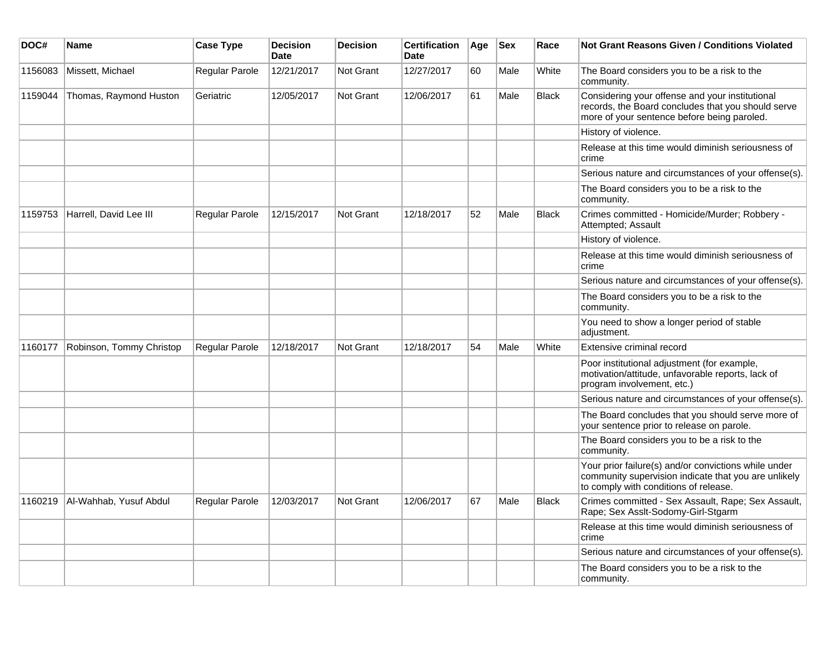| DOC#    | Name                     | <b>Case Type</b> | <b>Decision</b><br><b>Date</b> | <b>Decision</b>  | <b>Certification</b><br><b>Date</b> | Age | <b>Sex</b> | Race         | <b>Not Grant Reasons Given / Conditions Violated</b>                                                                                                  |
|---------|--------------------------|------------------|--------------------------------|------------------|-------------------------------------|-----|------------|--------------|-------------------------------------------------------------------------------------------------------------------------------------------------------|
| 1156083 | Missett, Michael         | Regular Parole   | 12/21/2017                     | Not Grant        | 12/27/2017                          | 60  | Male       | White        | The Board considers you to be a risk to the<br>community.                                                                                             |
| 1159044 | Thomas, Raymond Huston   | Geriatric        | 12/05/2017                     | Not Grant        | 12/06/2017                          | 61  | Male       | <b>Black</b> | Considering your offense and your institutional<br>records, the Board concludes that you should serve<br>more of your sentence before being paroled.  |
|         |                          |                  |                                |                  |                                     |     |            |              | History of violence.                                                                                                                                  |
|         |                          |                  |                                |                  |                                     |     |            |              | Release at this time would diminish seriousness of<br>crime                                                                                           |
|         |                          |                  |                                |                  |                                     |     |            |              | Serious nature and circumstances of your offense(s).                                                                                                  |
|         |                          |                  |                                |                  |                                     |     |            |              | The Board considers you to be a risk to the<br>community.                                                                                             |
| 1159753 | Harrell, David Lee III   | Regular Parole   | 12/15/2017                     | <b>Not Grant</b> | 12/18/2017                          | 52  | Male       | <b>Black</b> | Crimes committed - Homicide/Murder; Robbery -<br>Attempted; Assault                                                                                   |
|         |                          |                  |                                |                  |                                     |     |            |              | History of violence.                                                                                                                                  |
|         |                          |                  |                                |                  |                                     |     |            |              | Release at this time would diminish seriousness of<br>crime                                                                                           |
|         |                          |                  |                                |                  |                                     |     |            |              | Serious nature and circumstances of your offense(s).                                                                                                  |
|         |                          |                  |                                |                  |                                     |     |            |              | The Board considers you to be a risk to the<br>community.                                                                                             |
|         |                          |                  |                                |                  |                                     |     |            |              | You need to show a longer period of stable<br>adjustment.                                                                                             |
| 1160177 | Robinson, Tommy Christop | Regular Parole   | 12/18/2017                     | <b>Not Grant</b> | 12/18/2017                          | 54  | Male       | White        | Extensive criminal record                                                                                                                             |
|         |                          |                  |                                |                  |                                     |     |            |              | Poor institutional adjustment (for example,<br>motivation/attitude, unfavorable reports, lack of<br>program involvement, etc.)                        |
|         |                          |                  |                                |                  |                                     |     |            |              | Serious nature and circumstances of your offense(s).                                                                                                  |
|         |                          |                  |                                |                  |                                     |     |            |              | The Board concludes that you should serve more of<br>your sentence prior to release on parole.                                                        |
|         |                          |                  |                                |                  |                                     |     |            |              | The Board considers you to be a risk to the<br>community.                                                                                             |
|         |                          |                  |                                |                  |                                     |     |            |              | Your prior failure(s) and/or convictions while under<br>community supervision indicate that you are unlikely<br>to comply with conditions of release. |
| 1160219 | Al-Wahhab, Yusuf Abdul   | Regular Parole   | 12/03/2017                     | <b>Not Grant</b> | 12/06/2017                          | 67  | Male       | <b>Black</b> | Crimes committed - Sex Assault, Rape; Sex Assault,<br>Rape; Sex Asslt-Sodomy-Girl-Stgarm                                                              |
|         |                          |                  |                                |                  |                                     |     |            |              | Release at this time would diminish seriousness of<br>crime                                                                                           |
|         |                          |                  |                                |                  |                                     |     |            |              | Serious nature and circumstances of your offense(s).                                                                                                  |
|         |                          |                  |                                |                  |                                     |     |            |              | The Board considers you to be a risk to the<br>community.                                                                                             |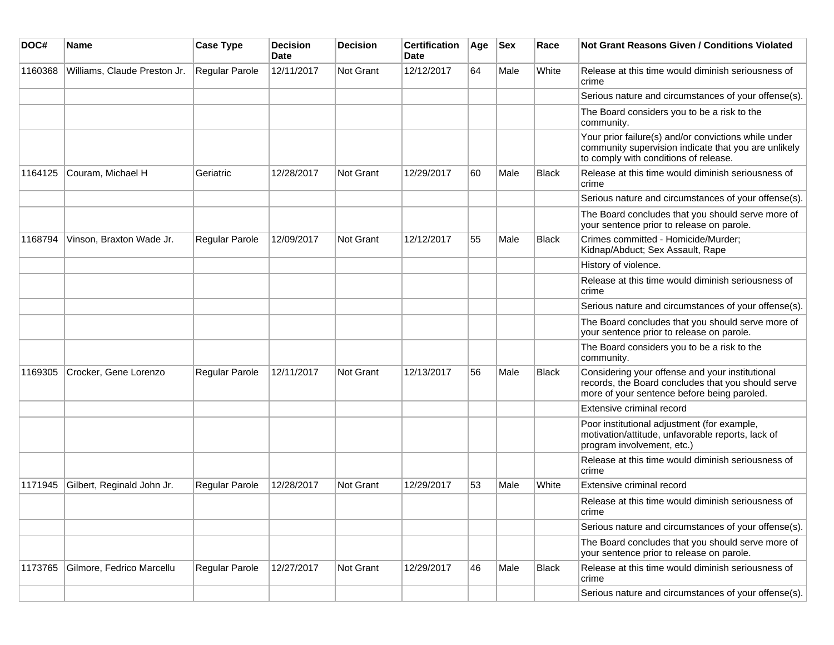| DOC#    | Name                         | <b>Case Type</b> | <b>Decision</b><br><b>Date</b> | <b>Decision</b>  | <b>Certification</b><br>Date | Age | <b>Sex</b> | Race         | Not Grant Reasons Given / Conditions Violated                                                                                                         |
|---------|------------------------------|------------------|--------------------------------|------------------|------------------------------|-----|------------|--------------|-------------------------------------------------------------------------------------------------------------------------------------------------------|
| 1160368 | Williams, Claude Preston Jr. | Regular Parole   | 12/11/2017                     | Not Grant        | 12/12/2017                   | 64  | Male       | White        | Release at this time would diminish seriousness of<br>crime                                                                                           |
|         |                              |                  |                                |                  |                              |     |            |              | Serious nature and circumstances of your offense(s).                                                                                                  |
|         |                              |                  |                                |                  |                              |     |            |              | The Board considers you to be a risk to the<br>community.                                                                                             |
|         |                              |                  |                                |                  |                              |     |            |              | Your prior failure(s) and/or convictions while under<br>community supervision indicate that you are unlikely<br>to comply with conditions of release. |
| 1164125 | Couram, Michael H            | Geriatric        | 12/28/2017                     | Not Grant        | 12/29/2017                   | 60  | Male       | <b>Black</b> | Release at this time would diminish seriousness of<br>crime                                                                                           |
|         |                              |                  |                                |                  |                              |     |            |              | Serious nature and circumstances of your offense(s).                                                                                                  |
|         |                              |                  |                                |                  |                              |     |            |              | The Board concludes that you should serve more of<br>your sentence prior to release on parole.                                                        |
| 1168794 | Vinson, Braxton Wade Jr.     | Regular Parole   | 12/09/2017                     | Not Grant        | 12/12/2017                   | 55  | Male       | <b>Black</b> | Crimes committed - Homicide/Murder;<br>Kidnap/Abduct; Sex Assault, Rape                                                                               |
|         |                              |                  |                                |                  |                              |     |            |              | History of violence.                                                                                                                                  |
|         |                              |                  |                                |                  |                              |     |            |              | Release at this time would diminish seriousness of<br>crime                                                                                           |
|         |                              |                  |                                |                  |                              |     |            |              | Serious nature and circumstances of your offense(s).                                                                                                  |
|         |                              |                  |                                |                  |                              |     |            |              | The Board concludes that you should serve more of<br>your sentence prior to release on parole.                                                        |
|         |                              |                  |                                |                  |                              |     |            |              | The Board considers you to be a risk to the<br>community.                                                                                             |
| 1169305 | Crocker, Gene Lorenzo        | Regular Parole   | 12/11/2017                     | Not Grant        | 12/13/2017                   | 56  | Male       | <b>Black</b> | Considering your offense and your institutional<br>records, the Board concludes that you should serve<br>more of your sentence before being paroled.  |
|         |                              |                  |                                |                  |                              |     |            |              | Extensive criminal record                                                                                                                             |
|         |                              |                  |                                |                  |                              |     |            |              | Poor institutional adjustment (for example,<br>motivation/attitude, unfavorable reports, lack of<br>program involvement, etc.)                        |
|         |                              |                  |                                |                  |                              |     |            |              | Release at this time would diminish seriousness of<br>crime                                                                                           |
| 1171945 | Gilbert, Reginald John Jr.   | Regular Parole   | 12/28/2017                     | <b>Not Grant</b> | 12/29/2017                   | 53  | Male       | White        | Extensive criminal record                                                                                                                             |
|         |                              |                  |                                |                  |                              |     |            |              | Release at this time would diminish seriousness of<br>crime                                                                                           |
|         |                              |                  |                                |                  |                              |     |            |              | Serious nature and circumstances of your offense(s).                                                                                                  |
|         |                              |                  |                                |                  |                              |     |            |              | The Board concludes that you should serve more of<br>your sentence prior to release on parole.                                                        |
| 1173765 | Gilmore, Fedrico Marcellu    | Regular Parole   | 12/27/2017                     | Not Grant        | 12/29/2017                   | 46  | Male       | <b>Black</b> | Release at this time would diminish seriousness of<br>crime                                                                                           |
|         |                              |                  |                                |                  |                              |     |            |              | Serious nature and circumstances of your offense(s).                                                                                                  |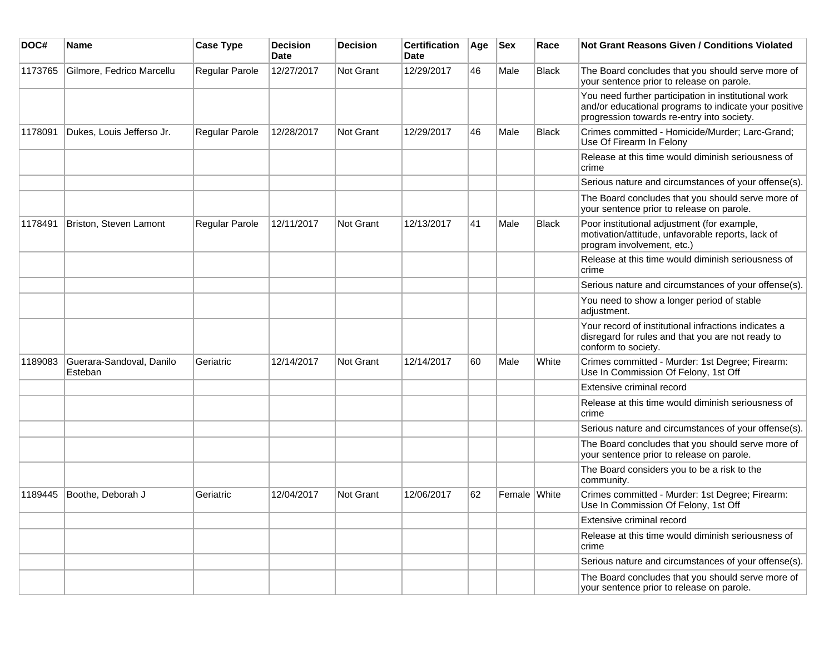| DOC#    | <b>Name</b>                         | <b>Case Type</b>      | <b>Decision</b><br><b>Date</b> | <b>Decision</b> | <b>Certification</b><br>Date | Age | <b>Sex</b>   | Race         | <b>Not Grant Reasons Given / Conditions Violated</b>                                                                                                        |
|---------|-------------------------------------|-----------------------|--------------------------------|-----------------|------------------------------|-----|--------------|--------------|-------------------------------------------------------------------------------------------------------------------------------------------------------------|
| 1173765 | Gilmore, Fedrico Marcellu           | Regular Parole        | 12/27/2017                     | Not Grant       | 12/29/2017                   | 46  | Male         | <b>Black</b> | The Board concludes that you should serve more of<br>your sentence prior to release on parole.                                                              |
|         |                                     |                       |                                |                 |                              |     |              |              | You need further participation in institutional work<br>and/or educational programs to indicate your positive<br>progression towards re-entry into society. |
| 1178091 | Dukes, Louis Jefferso Jr.           | Regular Parole        | 12/28/2017                     | Not Grant       | 12/29/2017                   | 46  | Male         | <b>Black</b> | Crimes committed - Homicide/Murder; Larc-Grand;<br>Use Of Firearm In Felony                                                                                 |
|         |                                     |                       |                                |                 |                              |     |              |              | Release at this time would diminish seriousness of<br>crime                                                                                                 |
|         |                                     |                       |                                |                 |                              |     |              |              | Serious nature and circumstances of your offense(s).                                                                                                        |
|         |                                     |                       |                                |                 |                              |     |              |              | The Board concludes that you should serve more of<br>your sentence prior to release on parole.                                                              |
| 1178491 | Briston, Steven Lamont              | <b>Regular Parole</b> | 12/11/2017                     | Not Grant       | 12/13/2017                   | 41  | Male         | <b>Black</b> | Poor institutional adjustment (for example,<br>motivation/attitude, unfavorable reports, lack of<br>program involvement, etc.)                              |
|         |                                     |                       |                                |                 |                              |     |              |              | Release at this time would diminish seriousness of<br>crime                                                                                                 |
|         |                                     |                       |                                |                 |                              |     |              |              | Serious nature and circumstances of your offense(s).                                                                                                        |
|         |                                     |                       |                                |                 |                              |     |              |              | You need to show a longer period of stable<br>adjustment.                                                                                                   |
|         |                                     |                       |                                |                 |                              |     |              |              | Your record of institutional infractions indicates a<br>disregard for rules and that you are not ready to<br>conform to society.                            |
| 1189083 | Guerara-Sandoval, Danilo<br>Esteban | Geriatric             | 12/14/2017                     | Not Grant       | 12/14/2017                   | 60  | Male         | White        | Crimes committed - Murder: 1st Degree; Firearm:<br>Use In Commission Of Felony, 1st Off                                                                     |
|         |                                     |                       |                                |                 |                              |     |              |              | Extensive criminal record                                                                                                                                   |
|         |                                     |                       |                                |                 |                              |     |              |              | Release at this time would diminish seriousness of<br>crime                                                                                                 |
|         |                                     |                       |                                |                 |                              |     |              |              | Serious nature and circumstances of your offense(s).                                                                                                        |
|         |                                     |                       |                                |                 |                              |     |              |              | The Board concludes that you should serve more of<br>your sentence prior to release on parole.                                                              |
|         |                                     |                       |                                |                 |                              |     |              |              | The Board considers you to be a risk to the<br>community.                                                                                                   |
| 1189445 | Boothe, Deborah J                   | Geriatric             | 12/04/2017                     | Not Grant       | 12/06/2017                   | 62  | Female White |              | Crimes committed - Murder: 1st Degree; Firearm:<br>Use In Commission Of Felony, 1st Off                                                                     |
|         |                                     |                       |                                |                 |                              |     |              |              | Extensive criminal record                                                                                                                                   |
|         |                                     |                       |                                |                 |                              |     |              |              | Release at this time would diminish seriousness of<br>crime                                                                                                 |
|         |                                     |                       |                                |                 |                              |     |              |              | Serious nature and circumstances of your offense(s).                                                                                                        |
|         |                                     |                       |                                |                 |                              |     |              |              | The Board concludes that you should serve more of<br>your sentence prior to release on parole.                                                              |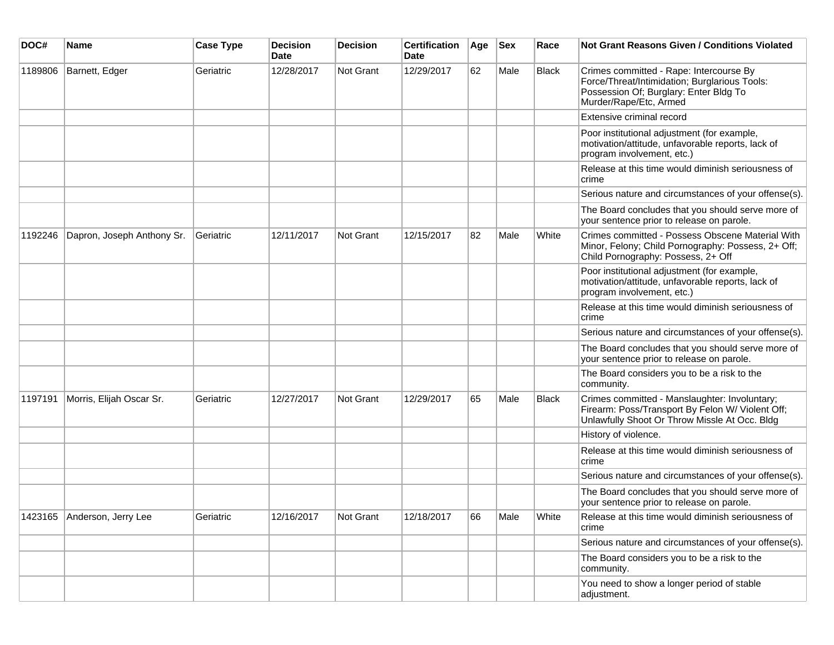| DOC#    | <b>Name</b>                 | <b>Case Type</b> | <b>Decision</b><br><b>Date</b> | <b>Decision</b> | <b>Certification</b><br>Date | Age | <b>Sex</b> | Race         | <b>Not Grant Reasons Given / Conditions Violated</b>                                                                                                         |
|---------|-----------------------------|------------------|--------------------------------|-----------------|------------------------------|-----|------------|--------------|--------------------------------------------------------------------------------------------------------------------------------------------------------------|
| 1189806 | Barnett, Edger              | Geriatric        | 12/28/2017                     | Not Grant       | 12/29/2017                   | 62  | Male       | Black        | Crimes committed - Rape: Intercourse By<br>Force/Threat/Intimidation; Burglarious Tools:<br>Possession Of; Burglary: Enter Bldg To<br>Murder/Rape/Etc, Armed |
|         |                             |                  |                                |                 |                              |     |            |              | Extensive criminal record                                                                                                                                    |
|         |                             |                  |                                |                 |                              |     |            |              | Poor institutional adjustment (for example,<br>motivation/attitude, unfavorable reports, lack of<br>program involvement, etc.)                               |
|         |                             |                  |                                |                 |                              |     |            |              | Release at this time would diminish seriousness of<br>crime                                                                                                  |
|         |                             |                  |                                |                 |                              |     |            |              | Serious nature and circumstances of your offense(s).                                                                                                         |
|         |                             |                  |                                |                 |                              |     |            |              | The Board concludes that you should serve more of<br>your sentence prior to release on parole.                                                               |
| 1192246 | Dapron, Joseph Anthony Sr.  | Geriatric        | 12/11/2017                     | Not Grant       | 12/15/2017                   | 82  | Male       | White        | Crimes committed - Possess Obscene Material With<br>Minor, Felony; Child Pornography: Possess, 2+ Off;<br>Child Pornography: Possess, 2+ Off                 |
|         |                             |                  |                                |                 |                              |     |            |              | Poor institutional adjustment (for example,<br>motivation/attitude, unfavorable reports, lack of<br>program involvement, etc.)                               |
|         |                             |                  |                                |                 |                              |     |            |              | Release at this time would diminish seriousness of<br>crime                                                                                                  |
|         |                             |                  |                                |                 |                              |     |            |              | Serious nature and circumstances of your offense(s).                                                                                                         |
|         |                             |                  |                                |                 |                              |     |            |              | The Board concludes that you should serve more of<br>your sentence prior to release on parole.                                                               |
|         |                             |                  |                                |                 |                              |     |            |              | The Board considers you to be a risk to the<br>community.                                                                                                    |
| 1197191 | Morris, Elijah Oscar Sr.    | Geriatric        | 12/27/2017                     | Not Grant       | 12/29/2017                   | 65  | Male       | <b>Black</b> | Crimes committed - Manslaughter: Involuntary;<br>Firearm: Poss/Transport By Felon W/ Violent Off;<br>Unlawfully Shoot Or Throw Missle At Occ. Bldg           |
|         |                             |                  |                                |                 |                              |     |            |              | History of violence.                                                                                                                                         |
|         |                             |                  |                                |                 |                              |     |            |              | Release at this time would diminish seriousness of<br>crime                                                                                                  |
|         |                             |                  |                                |                 |                              |     |            |              | Serious nature and circumstances of your offense(s).                                                                                                         |
|         |                             |                  |                                |                 |                              |     |            |              | The Board concludes that you should serve more of<br>your sentence prior to release on parole.                                                               |
|         | 1423165 Anderson, Jerry Lee | Geriatric        | 12/16/2017                     | Not Grant       | 12/18/2017                   | 66  | Male       | White        | Release at this time would diminish seriousness of<br>crime                                                                                                  |
|         |                             |                  |                                |                 |                              |     |            |              | Serious nature and circumstances of your offense(s).                                                                                                         |
|         |                             |                  |                                |                 |                              |     |            |              | The Board considers you to be a risk to the<br>community.                                                                                                    |
|         |                             |                  |                                |                 |                              |     |            |              | You need to show a longer period of stable<br>adjustment.                                                                                                    |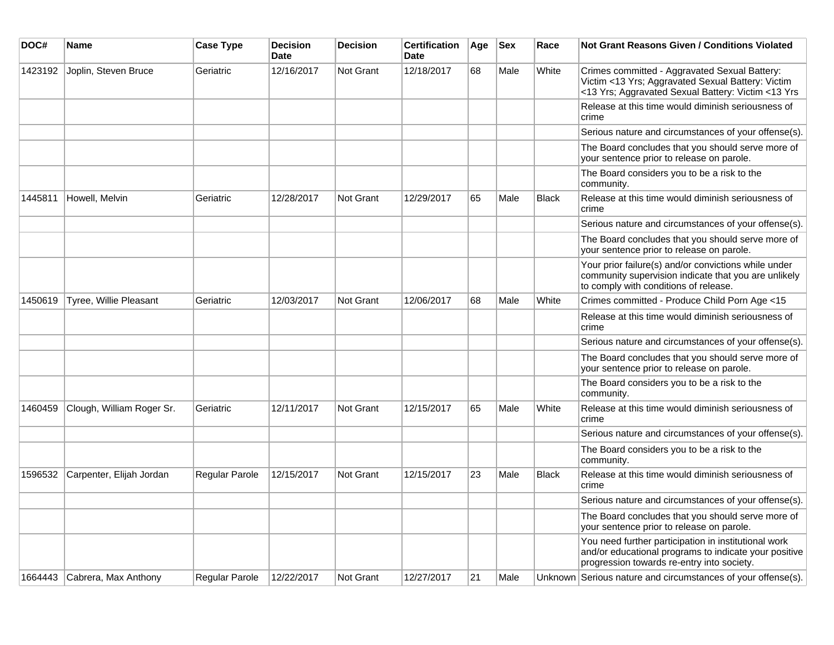| DOC#    | <b>Name</b>                   | <b>Case Type</b> | <b>Decision</b><br>Date | <b>Decision</b>  | <b>Certification</b><br><b>Date</b> | Age | <b>Sex</b> | Race         | <b>Not Grant Reasons Given / Conditions Violated</b>                                                                                                        |
|---------|-------------------------------|------------------|-------------------------|------------------|-------------------------------------|-----|------------|--------------|-------------------------------------------------------------------------------------------------------------------------------------------------------------|
| 1423192 | Joplin, Steven Bruce          | Geriatric        | 12/16/2017              | <b>Not Grant</b> | 12/18/2017                          | 68  | Male       | White        | Crimes committed - Aggravated Sexual Battery:<br>Victim <13 Yrs; Aggravated Sexual Battery: Victim<br><13 Yrs; Aggravated Sexual Battery: Victim <13 Yrs    |
|         |                               |                  |                         |                  |                                     |     |            |              | Release at this time would diminish seriousness of<br>crime                                                                                                 |
|         |                               |                  |                         |                  |                                     |     |            |              | Serious nature and circumstances of your offense(s).                                                                                                        |
|         |                               |                  |                         |                  |                                     |     |            |              | The Board concludes that you should serve more of<br>your sentence prior to release on parole.                                                              |
|         |                               |                  |                         |                  |                                     |     |            |              | The Board considers you to be a risk to the<br>community.                                                                                                   |
| 1445811 | Howell, Melvin                | Geriatric        | 12/28/2017              | Not Grant        | 12/29/2017                          | 65  | Male       | <b>Black</b> | Release at this time would diminish seriousness of<br>crime                                                                                                 |
|         |                               |                  |                         |                  |                                     |     |            |              | Serious nature and circumstances of your offense(s).                                                                                                        |
|         |                               |                  |                         |                  |                                     |     |            |              | The Board concludes that you should serve more of<br>your sentence prior to release on parole.                                                              |
|         |                               |                  |                         |                  |                                     |     |            |              | Your prior failure(s) and/or convictions while under<br>community supervision indicate that you are unlikely<br>to comply with conditions of release.       |
| 1450619 | <b>Tyree, Willie Pleasant</b> | Geriatric        | 12/03/2017              | <b>Not Grant</b> | 12/06/2017                          | 68  | Male       | White        | Crimes committed - Produce Child Porn Age <15                                                                                                               |
|         |                               |                  |                         |                  |                                     |     |            |              | Release at this time would diminish seriousness of<br>crime                                                                                                 |
|         |                               |                  |                         |                  |                                     |     |            |              | Serious nature and circumstances of your offense(s).                                                                                                        |
|         |                               |                  |                         |                  |                                     |     |            |              | The Board concludes that you should serve more of<br>your sentence prior to release on parole.                                                              |
|         |                               |                  |                         |                  |                                     |     |            |              | The Board considers you to be a risk to the<br>community.                                                                                                   |
| 1460459 | Clough, William Roger Sr.     | Geriatric        | 12/11/2017              | Not Grant        | 12/15/2017                          | 65  | Male       | White        | Release at this time would diminish seriousness of<br>crime                                                                                                 |
|         |                               |                  |                         |                  |                                     |     |            |              | Serious nature and circumstances of your offense(s).                                                                                                        |
|         |                               |                  |                         |                  |                                     |     |            |              | The Board considers you to be a risk to the<br>community.                                                                                                   |
| 1596532 | Carpenter, Elijah Jordan      | Regular Parole   | 12/15/2017              | <b>Not Grant</b> | 12/15/2017                          | 23  | Male       | <b>Black</b> | Release at this time would diminish seriousness of<br>crime                                                                                                 |
|         |                               |                  |                         |                  |                                     |     |            |              | Serious nature and circumstances of your offense(s).                                                                                                        |
|         |                               |                  |                         |                  |                                     |     |            |              | The Board concludes that you should serve more of<br>your sentence prior to release on parole.                                                              |
|         |                               |                  |                         |                  |                                     |     |            |              | You need further participation in institutional work<br>and/or educational programs to indicate your positive<br>progression towards re-entry into society. |
| 1664443 | Cabrera, Max Anthony          | Regular Parole   | 12/22/2017              | Not Grant        | 12/27/2017                          | 21  | Male       |              | Unknown Serious nature and circumstances of your offense(s).                                                                                                |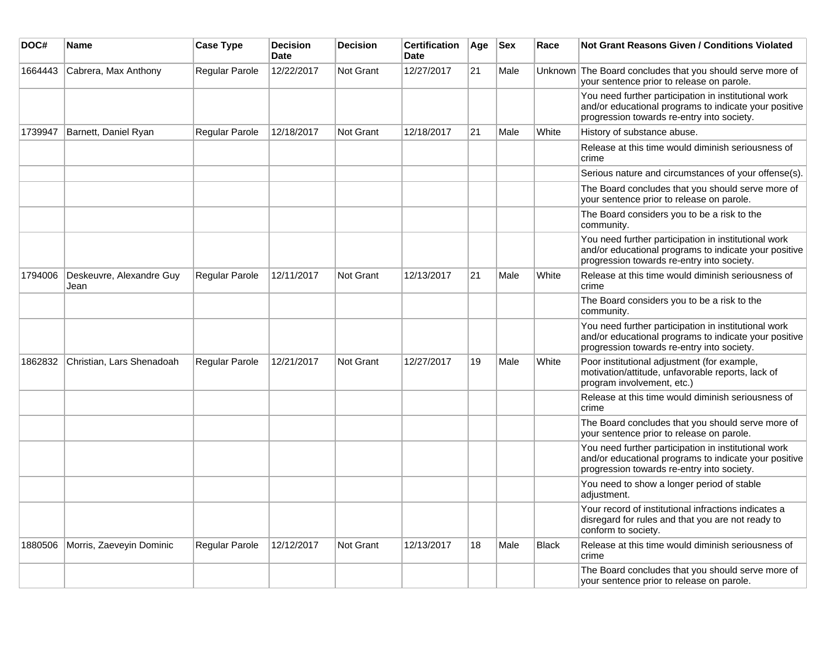| DOC#    | Name                             | <b>Case Type</b>      | <b>Decision</b><br><b>Date</b> | <b>Decision</b>  | <b>Certification</b><br><b>Date</b> | Age | <b>Sex</b> | Race         | <b>Not Grant Reasons Given / Conditions Violated</b>                                                                                                        |
|---------|----------------------------------|-----------------------|--------------------------------|------------------|-------------------------------------|-----|------------|--------------|-------------------------------------------------------------------------------------------------------------------------------------------------------------|
| 1664443 | Cabrera, Max Anthony             | <b>Regular Parole</b> | 12/22/2017                     | Not Grant        | 12/27/2017                          | 21  | Male       |              | Unknown The Board concludes that you should serve more of<br>your sentence prior to release on parole.                                                      |
|         |                                  |                       |                                |                  |                                     |     |            |              | You need further participation in institutional work<br>and/or educational programs to indicate your positive<br>progression towards re-entry into society. |
| 1739947 | Barnett, Daniel Ryan             | <b>Regular Parole</b> | 12/18/2017                     | Not Grant        | 12/18/2017                          | 21  | Male       | White        | History of substance abuse.                                                                                                                                 |
|         |                                  |                       |                                |                  |                                     |     |            |              | Release at this time would diminish seriousness of<br>crime                                                                                                 |
|         |                                  |                       |                                |                  |                                     |     |            |              | Serious nature and circumstances of your offense(s).                                                                                                        |
|         |                                  |                       |                                |                  |                                     |     |            |              | The Board concludes that you should serve more of<br>your sentence prior to release on parole.                                                              |
|         |                                  |                       |                                |                  |                                     |     |            |              | The Board considers you to be a risk to the<br>community.                                                                                                   |
|         |                                  |                       |                                |                  |                                     |     |            |              | You need further participation in institutional work<br>and/or educational programs to indicate your positive<br>progression towards re-entry into society. |
| 1794006 | Deskeuvre, Alexandre Guy<br>Jean | Regular Parole        | 12/11/2017                     | <b>Not Grant</b> | 12/13/2017                          | 21  | Male       | White        | Release at this time would diminish seriousness of<br>crime                                                                                                 |
|         |                                  |                       |                                |                  |                                     |     |            |              | The Board considers you to be a risk to the<br>community.                                                                                                   |
|         |                                  |                       |                                |                  |                                     |     |            |              | You need further participation in institutional work<br>and/or educational programs to indicate your positive<br>progression towards re-entry into society. |
| 1862832 | Christian, Lars Shenadoah        | <b>Regular Parole</b> | 12/21/2017                     | Not Grant        | 12/27/2017                          | 19  | Male       | White        | Poor institutional adjustment (for example,<br>motivation/attitude, unfavorable reports, lack of<br>program involvement, etc.)                              |
|         |                                  |                       |                                |                  |                                     |     |            |              | Release at this time would diminish seriousness of<br>crime                                                                                                 |
|         |                                  |                       |                                |                  |                                     |     |            |              | The Board concludes that you should serve more of<br>your sentence prior to release on parole.                                                              |
|         |                                  |                       |                                |                  |                                     |     |            |              | You need further participation in institutional work<br>and/or educational programs to indicate your positive<br>progression towards re-entry into society. |
|         |                                  |                       |                                |                  |                                     |     |            |              | You need to show a longer period of stable<br>adjustment.                                                                                                   |
|         |                                  |                       |                                |                  |                                     |     |            |              | Your record of institutional infractions indicates a<br>disregard for rules and that you are not ready to<br>conform to society.                            |
| 1880506 | Morris, Zaeveyin Dominic         | <b>Regular Parole</b> | 12/12/2017                     | <b>Not Grant</b> | 12/13/2017                          | 18  | Male       | <b>Black</b> | Release at this time would diminish seriousness of<br>crime                                                                                                 |
|         |                                  |                       |                                |                  |                                     |     |            |              | The Board concludes that you should serve more of<br>your sentence prior to release on parole.                                                              |